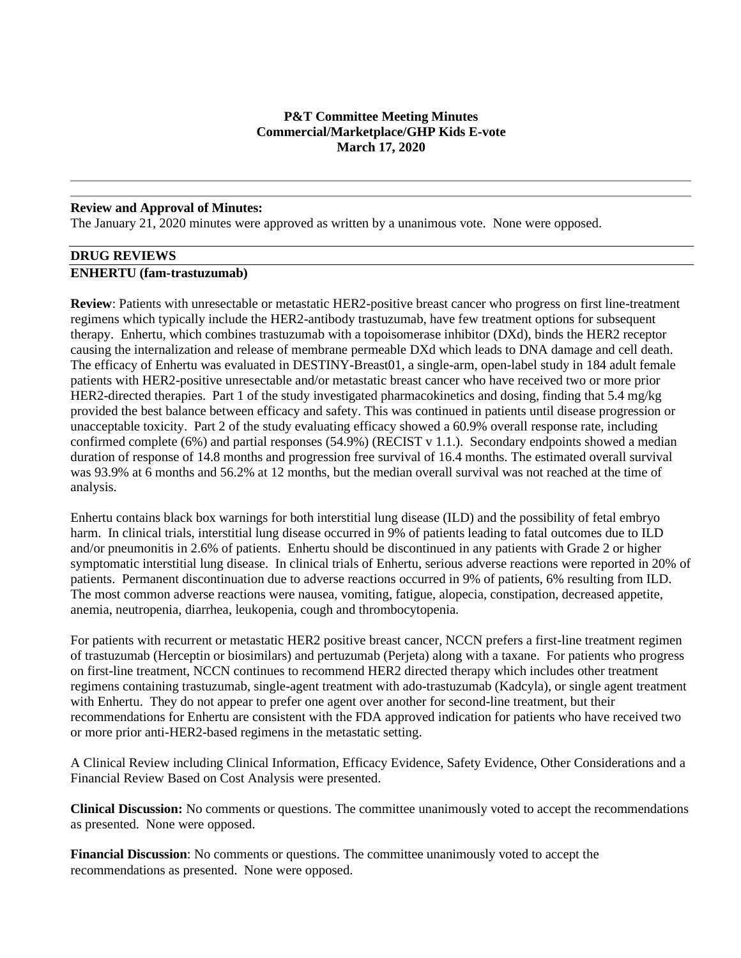# **P&T Committee Meeting Minutes Commercial/Marketplace/GHP Kids E-vote March 17, 2020**

#### **Review and Approval of Minutes:**

The January 21, 2020 minutes were approved as written by a unanimous vote. None were opposed.

# **DRUG REVIEWS**

#### **ENHERTU (fam-trastuzumab)**

**Review**: Patients with unresectable or metastatic HER2-positive breast cancer who progress on first line-treatment regimens which typically include the HER2-antibody trastuzumab, have few treatment options for subsequent therapy. Enhertu, which combines trastuzumab with a topoisomerase inhibitor (DXd), binds the HER2 receptor causing the internalization and release of membrane permeable DXd which leads to DNA damage and cell death. The efficacy of Enhertu was evaluated in DESTINY-Breast01, a single-arm, open-label study in 184 adult female patients with HER2-positive unresectable and/or metastatic breast cancer who have received two or more prior HER2-directed therapies. Part 1 of the study investigated pharmacokinetics and dosing, finding that 5.4 mg/kg provided the best balance between efficacy and safety. This was continued in patients until disease progression or unacceptable toxicity. Part 2 of the study evaluating efficacy showed a 60.9% overall response rate, including confirmed complete (6%) and partial responses (54.9%) (RECIST v 1.1.). Secondary endpoints showed a median duration of response of 14.8 months and progression free survival of 16.4 months. The estimated overall survival was 93.9% at 6 months and 56.2% at 12 months, but the median overall survival was not reached at the time of analysis.

Enhertu contains black box warnings for both interstitial lung disease (ILD) and the possibility of fetal embryo harm. In clinical trials, interstitial lung disease occurred in 9% of patients leading to fatal outcomes due to ILD and/or pneumonitis in 2.6% of patients. Enhertu should be discontinued in any patients with Grade 2 or higher symptomatic interstitial lung disease. In clinical trials of Enhertu, serious adverse reactions were reported in 20% of patients. Permanent discontinuation due to adverse reactions occurred in 9% of patients, 6% resulting from ILD. The most common adverse reactions were nausea, vomiting, fatigue, alopecia, constipation, decreased appetite, anemia, neutropenia, diarrhea, leukopenia, cough and thrombocytopenia.

For patients with recurrent or metastatic HER2 positive breast cancer, NCCN prefers a first-line treatment regimen of trastuzumab (Herceptin or biosimilars) and pertuzumab (Perjeta) along with a taxane. For patients who progress on first-line treatment, NCCN continues to recommend HER2 directed therapy which includes other treatment regimens containing trastuzumab, single-agent treatment with ado-trastuzumab (Kadcyla), or single agent treatment with Enhertu. They do not appear to prefer one agent over another for second-line treatment, but their recommendations for Enhertu are consistent with the FDA approved indication for patients who have received two or more prior anti-HER2-based regimens in the metastatic setting.

A Clinical Review including Clinical Information, Efficacy Evidence, Safety Evidence, Other Considerations and a Financial Review Based on Cost Analysis were presented.

**Clinical Discussion:** No comments or questions. The committee unanimously voted to accept the recommendations as presented. None were opposed.

**Financial Discussion**: No comments or questions. The committee unanimously voted to accept the recommendations as presented. None were opposed.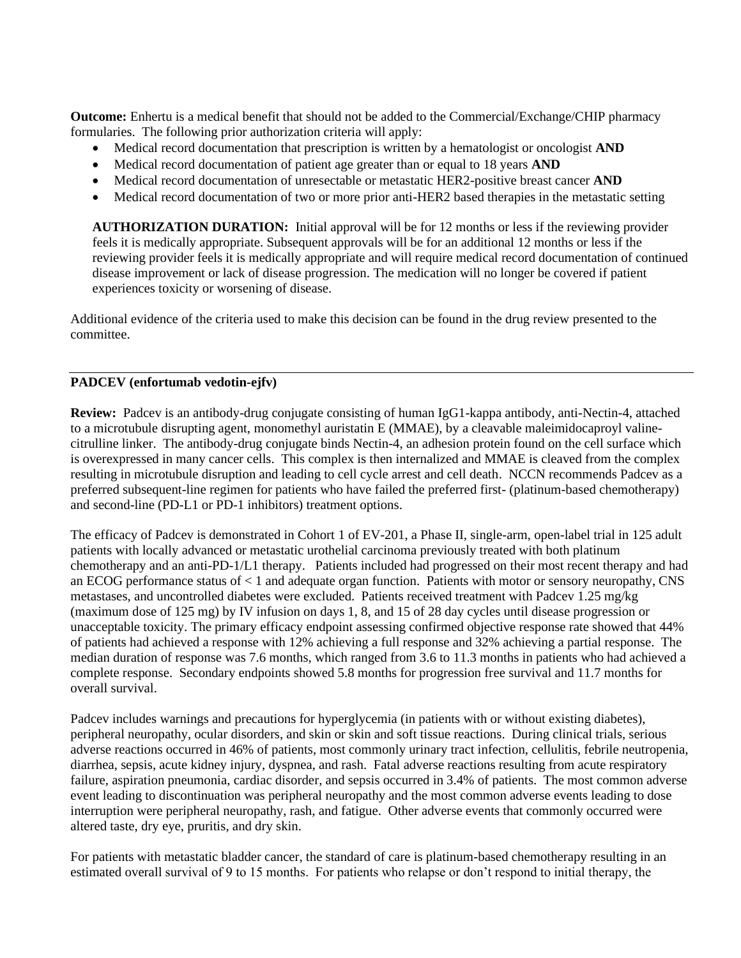**Outcome:** Enhertu is a medical benefit that should not be added to the Commercial/Exchange/CHIP pharmacy formularies. The following prior authorization criteria will apply:

- Medical record documentation that prescription is written by a hematologist or oncologist **AND**
- Medical record documentation of patient age greater than or equal to 18 years **AND**
- Medical record documentation of unresectable or metastatic HER2-positive breast cancer **AND**
- Medical record documentation of two or more prior anti-HER2 based therapies in the metastatic setting

**AUTHORIZATION DURATION:** Initial approval will be for 12 months or less if the reviewing provider feels it is medically appropriate. Subsequent approvals will be for an additional 12 months or less if the reviewing provider feels it is medically appropriate and will require medical record documentation of continued disease improvement or lack of disease progression. The medication will no longer be covered if patient experiences toxicity or worsening of disease.

Additional evidence of the criteria used to make this decision can be found in the drug review presented to the committee.

# **PADCEV (enfortumab vedotin-ejfv)**

**Review:** Padcev is an antibody-drug conjugate consisting of human IgG1-kappa antibody, anti-Nectin-4, attached to a microtubule disrupting agent, monomethyl auristatin E (MMAE), by a cleavable maleimidocaproyl valinecitrulline linker. The antibody-drug conjugate binds Nectin-4, an adhesion protein found on the cell surface which is overexpressed in many cancer cells. This complex is then internalized and MMAE is cleaved from the complex resulting in microtubule disruption and leading to cell cycle arrest and cell death. NCCN recommends Padcev as a preferred subsequent-line regimen for patients who have failed the preferred first- (platinum-based chemotherapy) and second-line (PD-L1 or PD-1 inhibitors) treatment options.

The efficacy of Padcev is demonstrated in Cohort 1 of EV-201, a Phase II, single-arm, open-label trial in 125 adult patients with locally advanced or metastatic urothelial carcinoma previously treated with both platinum chemotherapy and an anti-PD-1/L1 therapy. Patients included had progressed on their most recent therapy and had an ECOG performance status of < 1 and adequate organ function. Patients with motor or sensory neuropathy, CNS metastases, and uncontrolled diabetes were excluded. Patients received treatment with Padcev 1.25 mg/kg (maximum dose of 125 mg) by IV infusion on days 1, 8, and 15 of 28 day cycles until disease progression or unacceptable toxicity. The primary efficacy endpoint assessing confirmed objective response rate showed that 44% of patients had achieved a response with 12% achieving a full response and 32% achieving a partial response. The median duration of response was 7.6 months, which ranged from 3.6 to 11.3 months in patients who had achieved a complete response. Secondary endpoints showed 5.8 months for progression free survival and 11.7 months for overall survival.

Padcev includes warnings and precautions for hyperglycemia (in patients with or without existing diabetes), peripheral neuropathy, ocular disorders, and skin or skin and soft tissue reactions. During clinical trials, serious adverse reactions occurred in 46% of patients, most commonly urinary tract infection, cellulitis, febrile neutropenia, diarrhea, sepsis, acute kidney injury, dyspnea, and rash. Fatal adverse reactions resulting from acute respiratory failure, aspiration pneumonia, cardiac disorder, and sepsis occurred in 3.4% of patients. The most common adverse event leading to discontinuation was peripheral neuropathy and the most common adverse events leading to dose interruption were peripheral neuropathy, rash, and fatigue. Other adverse events that commonly occurred were altered taste, dry eye, pruritis, and dry skin.

For patients with metastatic bladder cancer, the standard of care is platinum-based chemotherapy resulting in an estimated overall survival of 9 to 15 months. For patients who relapse or don't respond to initial therapy, the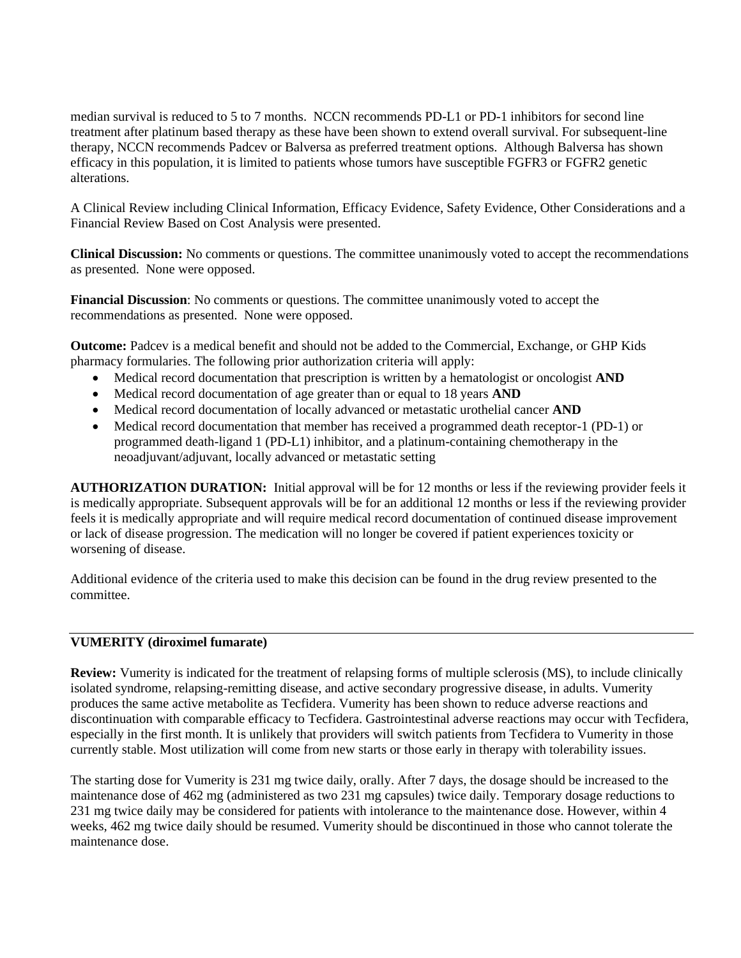median survival is reduced to 5 to 7 months. NCCN recommends PD-L1 or PD-1 inhibitors for second line treatment after platinum based therapy as these have been shown to extend overall survival. For subsequent-line therapy, NCCN recommends Padcev or Balversa as preferred treatment options. Although Balversa has shown efficacy in this population, it is limited to patients whose tumors have susceptible FGFR3 or FGFR2 genetic alterations.

A Clinical Review including Clinical Information, Efficacy Evidence, Safety Evidence, Other Considerations and a Financial Review Based on Cost Analysis were presented.

**Clinical Discussion:** No comments or questions. The committee unanimously voted to accept the recommendations as presented. None were opposed.

**Financial Discussion**: No comments or questions. The committee unanimously voted to accept the recommendations as presented. None were opposed.

**Outcome:** Padcev is a medical benefit and should not be added to the Commercial, Exchange, or GHP Kids pharmacy formularies. The following prior authorization criteria will apply:

- Medical record documentation that prescription is written by a hematologist or oncologist **AND**
- Medical record documentation of age greater than or equal to 18 years **AND**
- Medical record documentation of locally advanced or metastatic urothelial cancer **AND**
- Medical record documentation that member has received a programmed death receptor-1 (PD-1) or programmed death-ligand 1 (PD-L1) inhibitor, and a platinum-containing chemotherapy in the neoadjuvant/adjuvant, locally advanced or metastatic setting

**AUTHORIZATION DURATION:** Initial approval will be for 12 months or less if the reviewing provider feels it is medically appropriate. Subsequent approvals will be for an additional 12 months or less if the reviewing provider feels it is medically appropriate and will require medical record documentation of continued disease improvement or lack of disease progression. The medication will no longer be covered if patient experiences toxicity or worsening of disease.

Additional evidence of the criteria used to make this decision can be found in the drug review presented to the committee.

# **VUMERITY (diroximel fumarate)**

**Review:** Vumerity is indicated for the treatment of relapsing forms of multiple sclerosis (MS), to include clinically isolated syndrome, relapsing-remitting disease, and active secondary progressive disease, in adults. Vumerity produces the same active metabolite as Tecfidera. Vumerity has been shown to reduce adverse reactions and discontinuation with comparable efficacy to Tecfidera. Gastrointestinal adverse reactions may occur with Tecfidera, especially in the first month. It is unlikely that providers will switch patients from Tecfidera to Vumerity in those currently stable. Most utilization will come from new starts or those early in therapy with tolerability issues.

The starting dose for Vumerity is 231 mg twice daily, orally. After 7 days, the dosage should be increased to the maintenance dose of 462 mg (administered as two 231 mg capsules) twice daily. Temporary dosage reductions to 231 mg twice daily may be considered for patients with intolerance to the maintenance dose. However, within 4 weeks, 462 mg twice daily should be resumed. Vumerity should be discontinued in those who cannot tolerate the maintenance dose.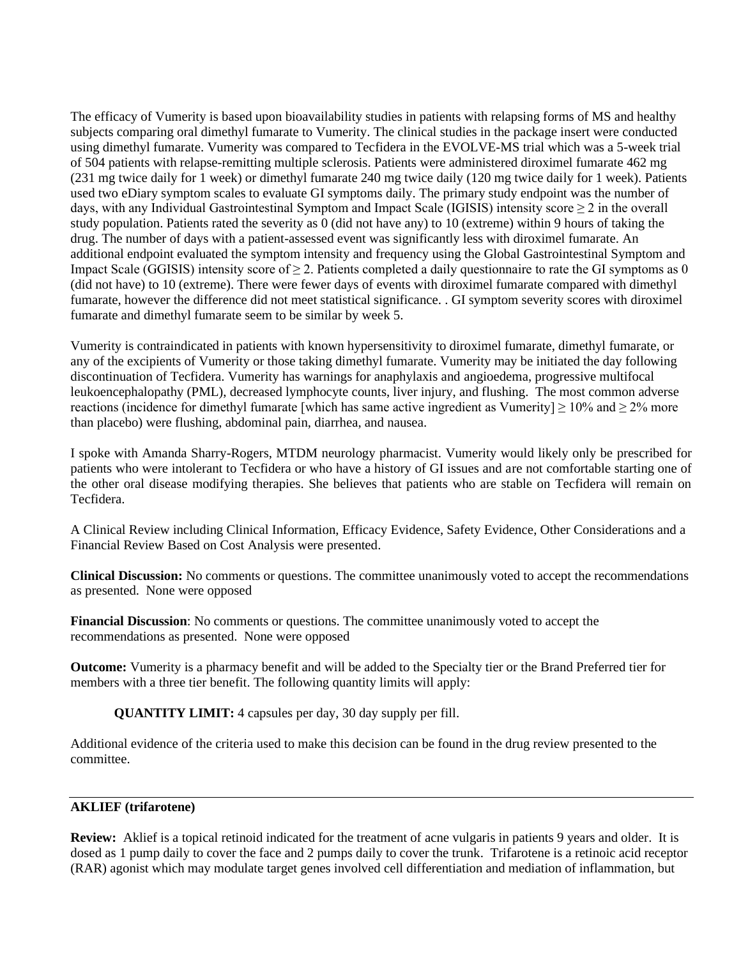The efficacy of Vumerity is based upon bioavailability studies in patients with relapsing forms of MS and healthy subjects comparing oral dimethyl fumarate to Vumerity. The clinical studies in the package insert were conducted using dimethyl fumarate. Vumerity was compared to Tecfidera in the EVOLVE-MS trial which was a 5-week trial of 504 patients with relapse-remitting multiple sclerosis. Patients were administered diroximel fumarate 462 mg (231 mg twice daily for 1 week) or dimethyl fumarate 240 mg twice daily (120 mg twice daily for 1 week). Patients used two eDiary symptom scales to evaluate GI symptoms daily. The primary study endpoint was the number of days, with any Individual Gastrointestinal Symptom and Impact Scale (IGISIS) intensity score  $\geq 2$  in the overall study population. Patients rated the severity as  $\overline{0}$  (did not have any) to 10 (extreme) within 9 hours of taking the drug. The number of days with a patient-assessed event was significantly less with diroximel fumarate. An additional endpoint evaluated the symptom intensity and frequency using the Global Gastrointestinal Symptom and Impact Scale (GGISIS) intensity score of  $\geq 2$ . Patients completed a daily questionnaire to rate the GI symptoms as 0 (did not have) to 10 (extreme). There were fewer days of events with diroximel fumarate compared with dimethyl fumarate, however the difference did not meet statistical significance. . GI symptom severity scores with diroximel fumarate and dimethyl fumarate seem to be similar by week 5.

Vumerity is contraindicated in patients with known hypersensitivity to diroximel fumarate, dimethyl fumarate, or any of the excipients of Vumerity or those taking dimethyl fumarate. Vumerity may be initiated the day following discontinuation of Tecfidera. Vumerity has warnings for anaphylaxis and angioedema, progressive multifocal leukoencephalopathy (PML), decreased lymphocyte counts, liver injury, and flushing. The most common adverse reactions (incidence for dimethyl fumarate [which has same active ingredient as Vumerity]  $\geq 10\%$  and  $\geq 2\%$  more than placebo) were flushing, abdominal pain, diarrhea, and nausea.

I spoke with Amanda Sharry-Rogers, MTDM neurology pharmacist. Vumerity would likely only be prescribed for patients who were intolerant to Tecfidera or who have a history of GI issues and are not comfortable starting one of the other oral disease modifying therapies. She believes that patients who are stable on Tecfidera will remain on Tecfidera.

A Clinical Review including Clinical Information, Efficacy Evidence, Safety Evidence, Other Considerations and a Financial Review Based on Cost Analysis were presented.

**Clinical Discussion:** No comments or questions. The committee unanimously voted to accept the recommendations as presented. None were opposed

**Financial Discussion**: No comments or questions. The committee unanimously voted to accept the recommendations as presented. None were opposed

**Outcome:** Vumerity is a pharmacy benefit and will be added to the Specialty tier or the Brand Preferred tier for members with a three tier benefit. The following quantity limits will apply:

**QUANTITY LIMIT:** 4 capsules per day, 30 day supply per fill.

Additional evidence of the criteria used to make this decision can be found in the drug review presented to the committee.

# **AKLIEF (trifarotene)**

**Review:** Aklief is a topical retinoid indicated for the treatment of acne vulgaris in patients 9 years and older. It is dosed as 1 pump daily to cover the face and 2 pumps daily to cover the trunk. Trifarotene is a retinoic acid receptor (RAR) agonist which may modulate target genes involved cell differentiation and mediation of inflammation, but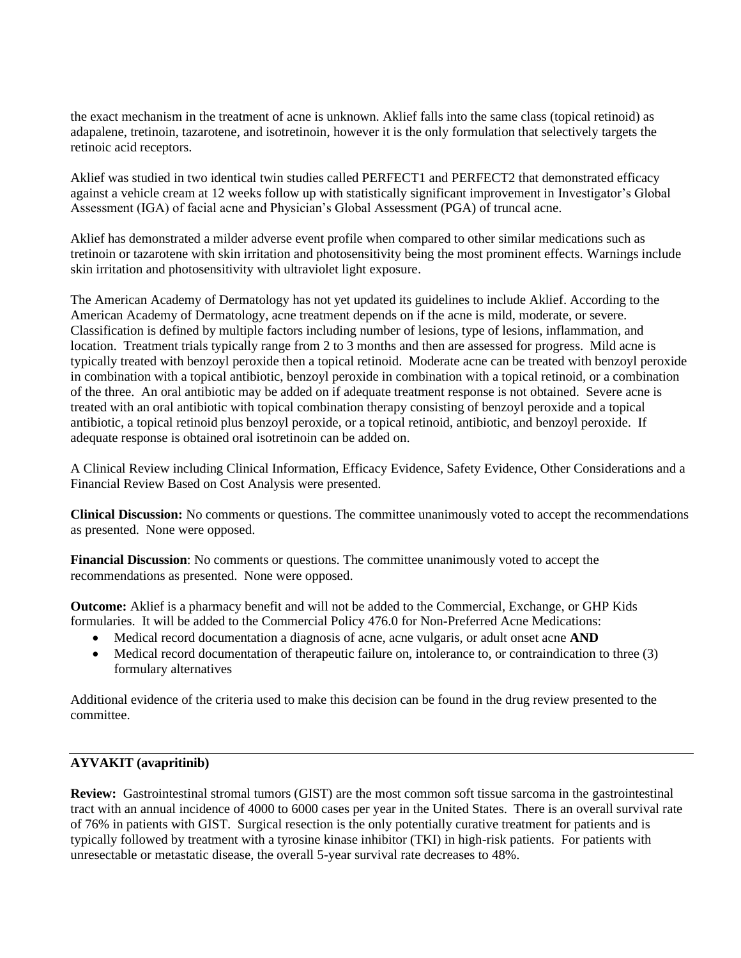the exact mechanism in the treatment of acne is unknown. Aklief falls into the same class (topical retinoid) as adapalene, tretinoin, tazarotene, and isotretinoin, however it is the only formulation that selectively targets the retinoic acid receptors.

Aklief was studied in two identical twin studies called PERFECT1 and PERFECT2 that demonstrated efficacy against a vehicle cream at 12 weeks follow up with statistically significant improvement in Investigator's Global Assessment (IGA) of facial acne and Physician's Global Assessment (PGA) of truncal acne.

Aklief has demonstrated a milder adverse event profile when compared to other similar medications such as tretinoin or tazarotene with skin irritation and photosensitivity being the most prominent effects. Warnings include skin irritation and photosensitivity with ultraviolet light exposure.

The American Academy of Dermatology has not yet updated its guidelines to include Aklief. According to the American Academy of Dermatology, acne treatment depends on if the acne is mild, moderate, or severe. Classification is defined by multiple factors including number of lesions, type of lesions, inflammation, and location. Treatment trials typically range from 2 to 3 months and then are assessed for progress. Mild acne is typically treated with benzoyl peroxide then a topical retinoid. Moderate acne can be treated with benzoyl peroxide in combination with a topical antibiotic, benzoyl peroxide in combination with a topical retinoid, or a combination of the three. An oral antibiotic may be added on if adequate treatment response is not obtained. Severe acne is treated with an oral antibiotic with topical combination therapy consisting of benzoyl peroxide and a topical antibiotic, a topical retinoid plus benzoyl peroxide, or a topical retinoid, antibiotic, and benzoyl peroxide. If adequate response is obtained oral isotretinoin can be added on.

A Clinical Review including Clinical Information, Efficacy Evidence, Safety Evidence, Other Considerations and a Financial Review Based on Cost Analysis were presented.

**Clinical Discussion:** No comments or questions. The committee unanimously voted to accept the recommendations as presented. None were opposed.

**Financial Discussion**: No comments or questions. The committee unanimously voted to accept the recommendations as presented. None were opposed.

**Outcome:** Aklief is a pharmacy benefit and will not be added to the Commercial, Exchange, or GHP Kids formularies. It will be added to the Commercial Policy 476.0 for Non-Preferred Acne Medications:

- Medical record documentation a diagnosis of acne, acne vulgaris, or adult onset acne **AND**
- Medical record documentation of therapeutic failure on, intolerance to, or contraindication to three (3) formulary alternatives

Additional evidence of the criteria used to make this decision can be found in the drug review presented to the committee.

# **AYVAKIT (avapritinib)**

**Review:** Gastrointestinal stromal tumors (GIST) are the most common soft tissue sarcoma in the gastrointestinal tract with an annual incidence of 4000 to 6000 cases per year in the United States. There is an overall survival rate of 76% in patients with GIST. Surgical resection is the only potentially curative treatment for patients and is typically followed by treatment with a tyrosine kinase inhibitor (TKI) in high-risk patients. For patients with unresectable or metastatic disease, the overall 5-year survival rate decreases to 48%.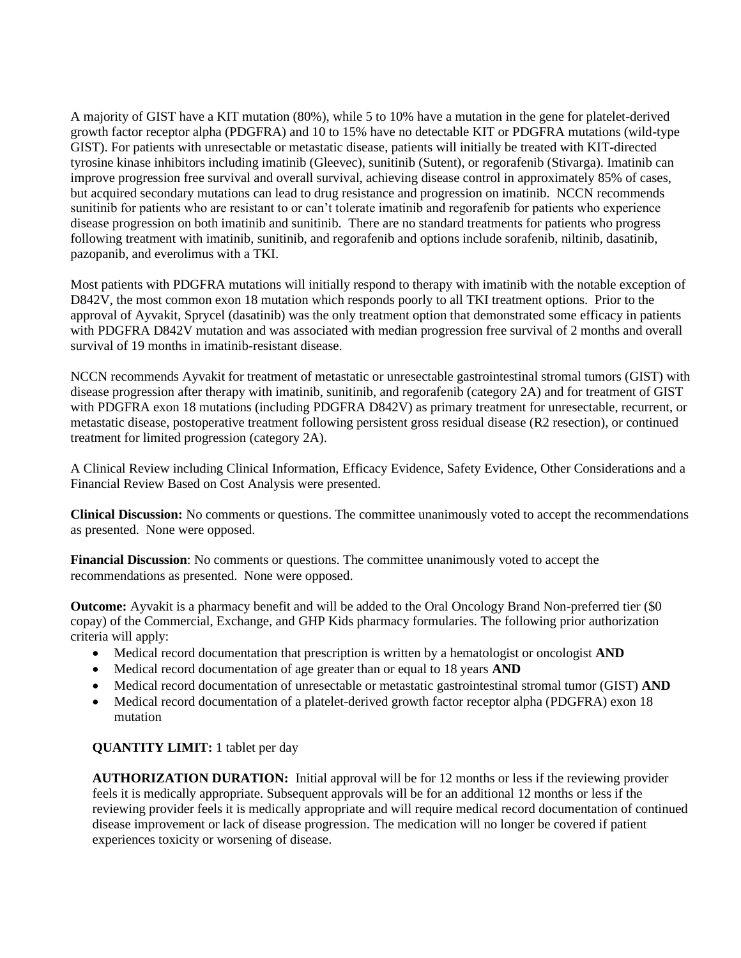A majority of GIST have a KIT mutation (80%), while 5 to 10% have a mutation in the gene for platelet-derived growth factor receptor alpha (PDGFRA) and 10 to 15% have no detectable KIT or PDGFRA mutations (wild-type GIST). For patients with unresectable or metastatic disease, patients will initially be treated with KIT-directed tyrosine kinase inhibitors including imatinib (Gleevec), sunitinib (Sutent), or regorafenib (Stivarga). Imatinib can improve progression free survival and overall survival, achieving disease control in approximately 85% of cases, but acquired secondary mutations can lead to drug resistance and progression on imatinib. NCCN recommends sunitinib for patients who are resistant to or can't tolerate imatinib and regorafenib for patients who experience disease progression on both imatinib and sunitinib. There are no standard treatments for patients who progress following treatment with imatinib, sunitinib, and regorafenib and options include sorafenib, niltinib, dasatinib, pazopanib, and everolimus with a TKI.

Most patients with PDGFRA mutations will initially respond to therapy with imatinib with the notable exception of D842V, the most common exon 18 mutation which responds poorly to all TKI treatment options. Prior to the approval of Ayvakit, Sprycel (dasatinib) was the only treatment option that demonstrated some efficacy in patients with PDGFRA D842V mutation and was associated with median progression free survival of 2 months and overall survival of 19 months in imatinib-resistant disease.

NCCN recommends Ayvakit for treatment of metastatic or unresectable gastrointestinal stromal tumors (GIST) with disease progression after therapy with imatinib, sunitinib, and regorafenib (category 2A) and for treatment of GIST with PDGFRA exon 18 mutations (including PDGFRA D842V) as primary treatment for unresectable, recurrent, or metastatic disease, postoperative treatment following persistent gross residual disease (R2 resection), or continued treatment for limited progression (category 2A).

A Clinical Review including Clinical Information, Efficacy Evidence, Safety Evidence, Other Considerations and a Financial Review Based on Cost Analysis were presented.

**Clinical Discussion:** No comments or questions. The committee unanimously voted to accept the recommendations as presented. None were opposed.

**Financial Discussion**: No comments or questions. The committee unanimously voted to accept the recommendations as presented. None were opposed.

**Outcome:** Ayvakit is a pharmacy benefit and will be added to the Oral Oncology Brand Non-preferred tier (\$0 copay) of the Commercial, Exchange, and GHP Kids pharmacy formularies. The following prior authorization criteria will apply:

- Medical record documentation that prescription is written by a hematologist or oncologist **AND**
- Medical record documentation of age greater than or equal to 18 years **AND**
- Medical record documentation of unresectable or metastatic gastrointestinal stromal tumor (GIST) **AND**
- Medical record documentation of a platelet-derived growth factor receptor alpha (PDGFRA) exon 18 mutation

# **QUANTITY LIMIT:** 1 tablet per day

**AUTHORIZATION DURATION:** Initial approval will be for 12 months or less if the reviewing provider feels it is medically appropriate. Subsequent approvals will be for an additional 12 months or less if the reviewing provider feels it is medically appropriate and will require medical record documentation of continued disease improvement or lack of disease progression. The medication will no longer be covered if patient experiences toxicity or worsening of disease.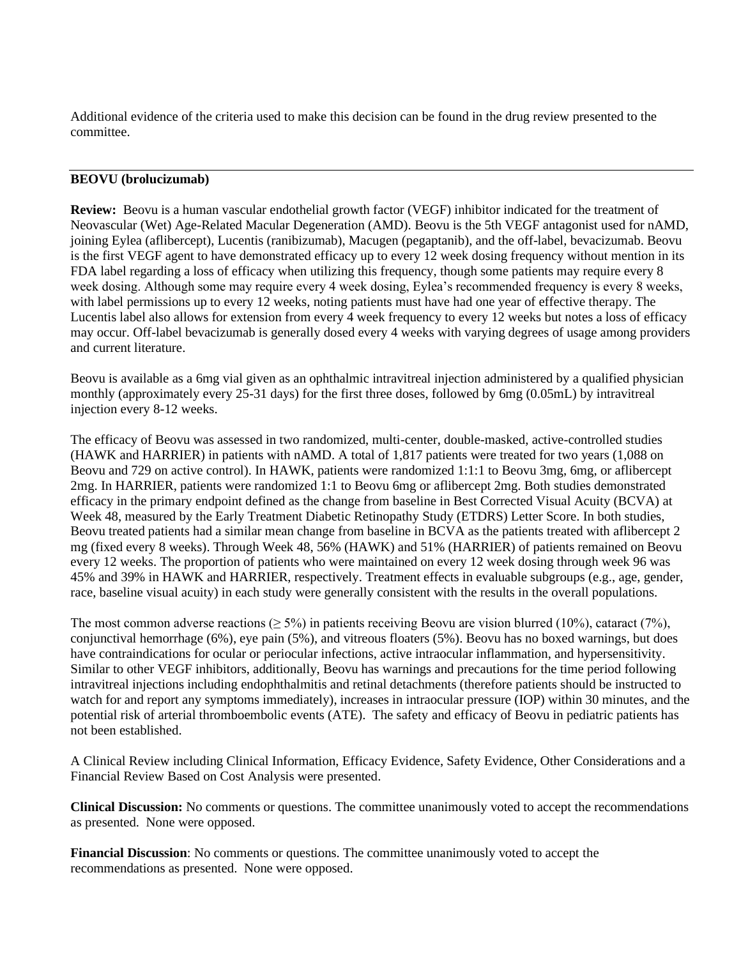Additional evidence of the criteria used to make this decision can be found in the drug review presented to the committee.

# **BEOVU (brolucizumab)**

**Review:** Beovu is a human vascular endothelial growth factor (VEGF) inhibitor indicated for the treatment of Neovascular (Wet) Age-Related Macular Degeneration (AMD). Beovu is the 5th VEGF antagonist used for nAMD, joining Eylea (aflibercept), Lucentis (ranibizumab), Macugen (pegaptanib), and the off-label, bevacizumab. Beovu is the first VEGF agent to have demonstrated efficacy up to every 12 week dosing frequency without mention in its FDA label regarding a loss of efficacy when utilizing this frequency, though some patients may require every 8 week dosing. Although some may require every 4 week dosing, Eylea's recommended frequency is every 8 weeks, with label permissions up to every 12 weeks, noting patients must have had one year of effective therapy. The Lucentis label also allows for extension from every 4 week frequency to every 12 weeks but notes a loss of efficacy may occur. Off-label bevacizumab is generally dosed every 4 weeks with varying degrees of usage among providers and current literature.

Beovu is available as a 6mg vial given as an ophthalmic intravitreal injection administered by a qualified physician monthly (approximately every 25-31 days) for the first three doses, followed by 6mg (0.05mL) by intravitreal injection every 8-12 weeks.

The efficacy of Beovu was assessed in two randomized, multi-center, double-masked, active-controlled studies (HAWK and HARRIER) in patients with nAMD. A total of 1,817 patients were treated for two years (1,088 on Beovu and 729 on active control). In HAWK, patients were randomized 1:1:1 to Beovu 3mg, 6mg, or aflibercept 2mg. In HARRIER, patients were randomized 1:1 to Beovu 6mg or aflibercept 2mg. Both studies demonstrated efficacy in the primary endpoint defined as the change from baseline in Best Corrected Visual Acuity (BCVA) at Week 48, measured by the Early Treatment Diabetic Retinopathy Study (ETDRS) Letter Score. In both studies, Beovu treated patients had a similar mean change from baseline in BCVA as the patients treated with aflibercept 2 mg (fixed every 8 weeks). Through Week 48, 56% (HAWK) and 51% (HARRIER) of patients remained on Beovu every 12 weeks. The proportion of patients who were maintained on every 12 week dosing through week 96 was 45% and 39% in HAWK and HARRIER, respectively. Treatment effects in evaluable subgroups (e.g., age, gender, race, baseline visual acuity) in each study were generally consistent with the results in the overall populations.

The most common adverse reactions ( $\geq 5\%$ ) in patients receiving Beovu are vision blurred (10%), cataract (7%), conjunctival hemorrhage (6%), eye pain (5%), and vitreous floaters (5%). Beovu has no boxed warnings, but does have contraindications for ocular or periocular infections, active intraocular inflammation, and hypersensitivity. Similar to other VEGF inhibitors, additionally, Beovu has warnings and precautions for the time period following intravitreal injections including endophthalmitis and retinal detachments (therefore patients should be instructed to watch for and report any symptoms immediately), increases in intraocular pressure (IOP) within 30 minutes, and the potential risk of arterial thromboembolic events (ATE). The safety and efficacy of Beovu in pediatric patients has not been established.

A Clinical Review including Clinical Information, Efficacy Evidence, Safety Evidence, Other Considerations and a Financial Review Based on Cost Analysis were presented.

**Clinical Discussion:** No comments or questions. The committee unanimously voted to accept the recommendations as presented. None were opposed.

**Financial Discussion**: No comments or questions. The committee unanimously voted to accept the recommendations as presented. None were opposed.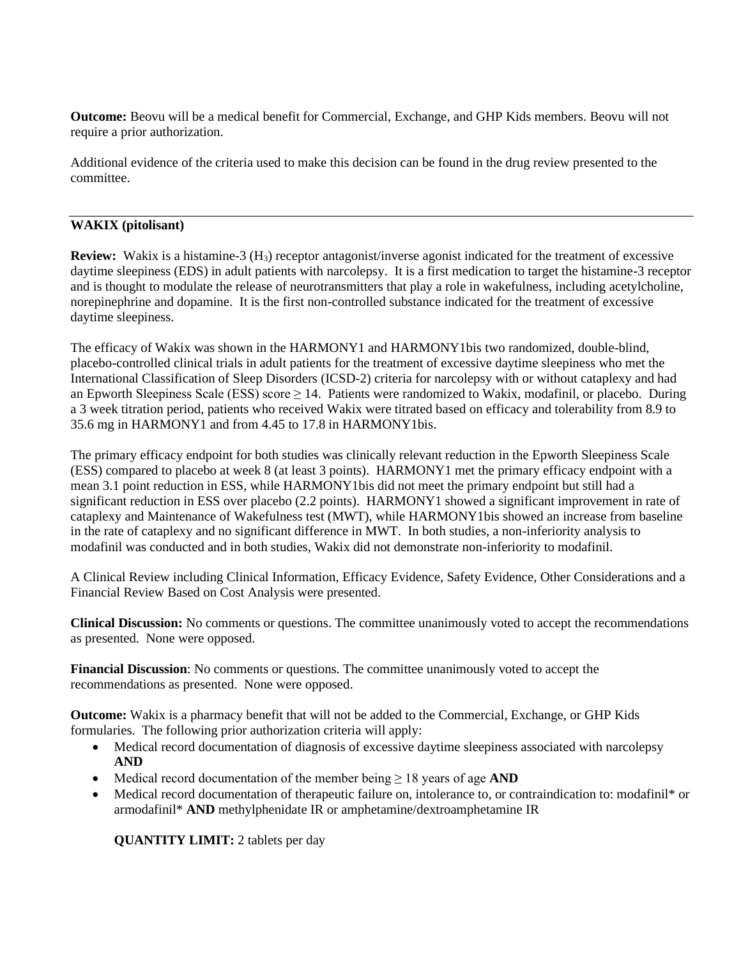**Outcome:** Beovu will be a medical benefit for Commercial, Exchange, and GHP Kids members. Beovu will not require a prior authorization.

Additional evidence of the criteria used to make this decision can be found in the drug review presented to the committee.

# **WAKIX (pitolisant)**

**Review:** Wakix is a histamine-3 (H<sub>3</sub>) receptor antagonist/inverse agonist indicated for the treatment of excessive daytime sleepiness (EDS) in adult patients with narcolepsy. It is a first medication to target the histamine-3 receptor and is thought to modulate the release of neurotransmitters that play a role in wakefulness, including acetylcholine, norepinephrine and dopamine. It is the first non-controlled substance indicated for the treatment of excessive daytime sleepiness.

The efficacy of Wakix was shown in the HARMONY1 and HARMONY1bis two randomized, double-blind, placebo-controlled clinical trials in adult patients for the treatment of excessive daytime sleepiness who met the International Classification of Sleep Disorders (ICSD-2) criteria for narcolepsy with or without cataplexy and had an Epworth Sleepiness Scale (ESS) score  $\geq 14$ . Patients were randomized to Wakix, modafinil, or placebo. During a 3 week titration period, patients who received Wakix were titrated based on efficacy and tolerability from 8.9 to 35.6 mg in HARMONY1 and from 4.45 to 17.8 in HARMONY1bis.

The primary efficacy endpoint for both studies was clinically relevant reduction in the Epworth Sleepiness Scale (ESS) compared to placebo at week 8 (at least 3 points). HARMONY1 met the primary efficacy endpoint with a mean 3.1 point reduction in ESS, while HARMONY1bis did not meet the primary endpoint but still had a significant reduction in ESS over placebo (2.2 points). HARMONY1 showed a significant improvement in rate of cataplexy and Maintenance of Wakefulness test (MWT), while HARMONY1bis showed an increase from baseline in the rate of cataplexy and no significant difference in MWT. In both studies, a non-inferiority analysis to modafinil was conducted and in both studies, Wakix did not demonstrate non-inferiority to modafinil.

A Clinical Review including Clinical Information, Efficacy Evidence, Safety Evidence, Other Considerations and a Financial Review Based on Cost Analysis were presented.

**Clinical Discussion:** No comments or questions. The committee unanimously voted to accept the recommendations as presented. None were opposed.

**Financial Discussion**: No comments or questions. The committee unanimously voted to accept the recommendations as presented. None were opposed.

**Outcome:** Wakix is a pharmacy benefit that will not be added to the Commercial, Exchange, or GHP Kids formularies. The following prior authorization criteria will apply:

- Medical record documentation of diagnosis of excessive daytime sleepiness associated with narcolepsy **AND**
- Medical record documentation of the member being ≥ 18 years of age **AND**
- Medical record documentation of therapeutic failure on, intolerance to, or contraindication to: modafinil<sup>\*</sup> or armodafinil\* **AND** methylphenidate IR or amphetamine/dextroamphetamine IR

**QUANTITY LIMIT:** 2 tablets per day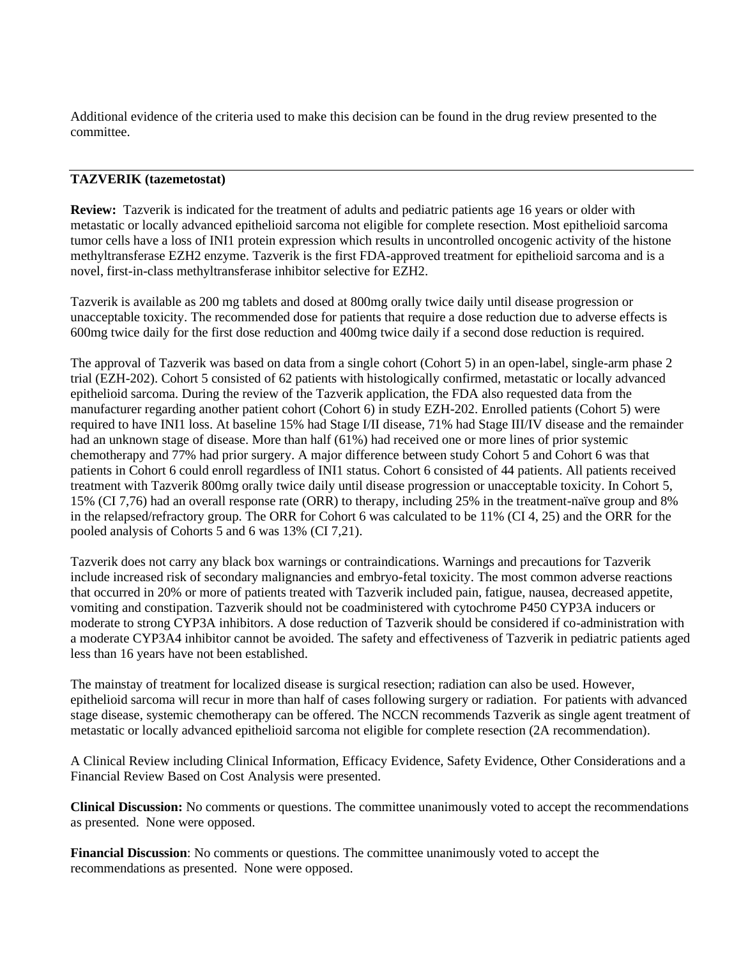Additional evidence of the criteria used to make this decision can be found in the drug review presented to the committee.

# **TAZVERIK (tazemetostat)**

**Review:** Tazverik is indicated for the treatment of adults and pediatric patients age 16 years or older with metastatic or locally advanced epithelioid sarcoma not eligible for complete resection. Most epithelioid sarcoma tumor cells have a loss of INI1 protein expression which results in uncontrolled oncogenic activity of the histone methyltransferase EZH2 enzyme. Tazverik is the first FDA-approved treatment for epithelioid sarcoma and is a novel, first-in-class methyltransferase inhibitor selective for EZH2.

Tazverik is available as 200 mg tablets and dosed at 800mg orally twice daily until disease progression or unacceptable toxicity. The recommended dose for patients that require a dose reduction due to adverse effects is 600mg twice daily for the first dose reduction and 400mg twice daily if a second dose reduction is required.

The approval of Tazverik was based on data from a single cohort (Cohort 5) in an open-label, single-arm phase 2 trial (EZH-202). Cohort 5 consisted of 62 patients with histologically confirmed, metastatic or locally advanced epithelioid sarcoma. During the review of the Tazverik application, the FDA also requested data from the manufacturer regarding another patient cohort (Cohort 6) in study EZH-202. Enrolled patients (Cohort 5) were required to have INI1 loss. At baseline 15% had Stage I/II disease, 71% had Stage III/IV disease and the remainder had an unknown stage of disease. More than half (61%) had received one or more lines of prior systemic chemotherapy and 77% had prior surgery. A major difference between study Cohort 5 and Cohort 6 was that patients in Cohort 6 could enroll regardless of INI1 status. Cohort 6 consisted of 44 patients. All patients received treatment with Tazverik 800mg orally twice daily until disease progression or unacceptable toxicity. In Cohort 5, 15% (CI 7,76) had an overall response rate (ORR) to therapy, including 25% in the treatment-naïve group and 8% in the relapsed/refractory group. The ORR for Cohort 6 was calculated to be 11% (CI 4, 25) and the ORR for the pooled analysis of Cohorts 5 and 6 was 13% (CI 7,21).

Tazverik does not carry any black box warnings or contraindications. Warnings and precautions for Tazverik include increased risk of secondary malignancies and embryo-fetal toxicity. The most common adverse reactions that occurred in 20% or more of patients treated with Tazverik included pain, fatigue, nausea, decreased appetite, vomiting and constipation. Tazverik should not be coadministered with cytochrome P450 CYP3A inducers or moderate to strong CYP3A inhibitors. A dose reduction of Tazverik should be considered if co-administration with a moderate CYP3A4 inhibitor cannot be avoided. The safety and effectiveness of Tazverik in pediatric patients aged less than 16 years have not been established.

The mainstay of treatment for localized disease is surgical resection; radiation can also be used. However, epithelioid sarcoma will recur in more than half of cases following surgery or radiation. For patients with advanced stage disease, systemic chemotherapy can be offered. The NCCN recommends Tazverik as single agent treatment of metastatic or locally advanced epithelioid sarcoma not eligible for complete resection (2A recommendation).

A Clinical Review including Clinical Information, Efficacy Evidence, Safety Evidence, Other Considerations and a Financial Review Based on Cost Analysis were presented.

**Clinical Discussion:** No comments or questions. The committee unanimously voted to accept the recommendations as presented. None were opposed.

**Financial Discussion**: No comments or questions. The committee unanimously voted to accept the recommendations as presented. None were opposed.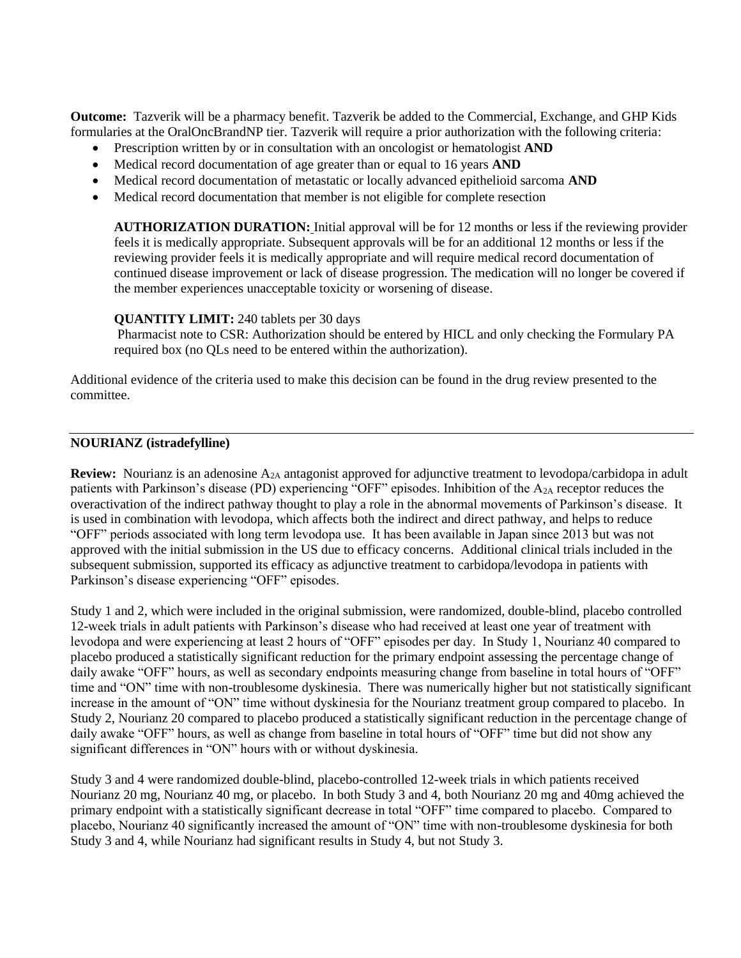**Outcome:** Tazverik will be a pharmacy benefit. Tazverik be added to the Commercial, Exchange, and GHP Kids formularies at the OralOncBrandNP tier. Tazverik will require a prior authorization with the following criteria:

- Prescription written by or in consultation with an oncologist or hematologist **AND**
- Medical record documentation of age greater than or equal to 16 years **AND**
- Medical record documentation of metastatic or locally advanced epithelioid sarcoma **AND**
- Medical record documentation that member is not eligible for complete resection

**AUTHORIZATION DURATION:** Initial approval will be for 12 months or less if the reviewing provider feels it is medically appropriate. Subsequent approvals will be for an additional 12 months or less if the reviewing provider feels it is medically appropriate and will require medical record documentation of continued disease improvement or lack of disease progression. The medication will no longer be covered if the member experiences unacceptable toxicity or worsening of disease.

#### **QUANTITY LIMIT:** 240 tablets per 30 days

Pharmacist note to CSR: Authorization should be entered by HICL and only checking the Formulary PA required box (no QLs need to be entered within the authorization).

Additional evidence of the criteria used to make this decision can be found in the drug review presented to the committee.

# **NOURIANZ (istradefylline)**

**Review:** Nourianz is an adenosine A<sub>2A</sub> antagonist approved for adjunctive treatment to levodopa/carbidopa in adult patients with Parkinson's disease (PD) experiencing "OFF" episodes. Inhibition of the A2A receptor reduces the overactivation of the indirect pathway thought to play a role in the abnormal movements of Parkinson's disease. It is used in combination with levodopa, which affects both the indirect and direct pathway, and helps to reduce "OFF" periods associated with long term levodopa use. It has been available in Japan since 2013 but was not approved with the initial submission in the US due to efficacy concerns. Additional clinical trials included in the subsequent submission, supported its efficacy as adjunctive treatment to carbidopa/levodopa in patients with Parkinson's disease experiencing "OFF" episodes.

Study 1 and 2, which were included in the original submission, were randomized, double-blind, placebo controlled 12-week trials in adult patients with Parkinson's disease who had received at least one year of treatment with levodopa and were experiencing at least 2 hours of "OFF" episodes per day. In Study 1, Nourianz 40 compared to placebo produced a statistically significant reduction for the primary endpoint assessing the percentage change of daily awake "OFF" hours, as well as secondary endpoints measuring change from baseline in total hours of "OFF" time and "ON" time with non-troublesome dyskinesia. There was numerically higher but not statistically significant increase in the amount of "ON" time without dyskinesia for the Nourianz treatment group compared to placebo. In Study 2, Nourianz 20 compared to placebo produced a statistically significant reduction in the percentage change of daily awake "OFF" hours, as well as change from baseline in total hours of "OFF" time but did not show any significant differences in "ON" hours with or without dyskinesia.

Study 3 and 4 were randomized double-blind, placebo-controlled 12-week trials in which patients received Nourianz 20 mg, Nourianz 40 mg, or placebo. In both Study 3 and 4, both Nourianz 20 mg and 40mg achieved the primary endpoint with a statistically significant decrease in total "OFF" time compared to placebo. Compared to placebo, Nourianz 40 significantly increased the amount of "ON" time with non-troublesome dyskinesia for both Study 3 and 4, while Nourianz had significant results in Study 4, but not Study 3.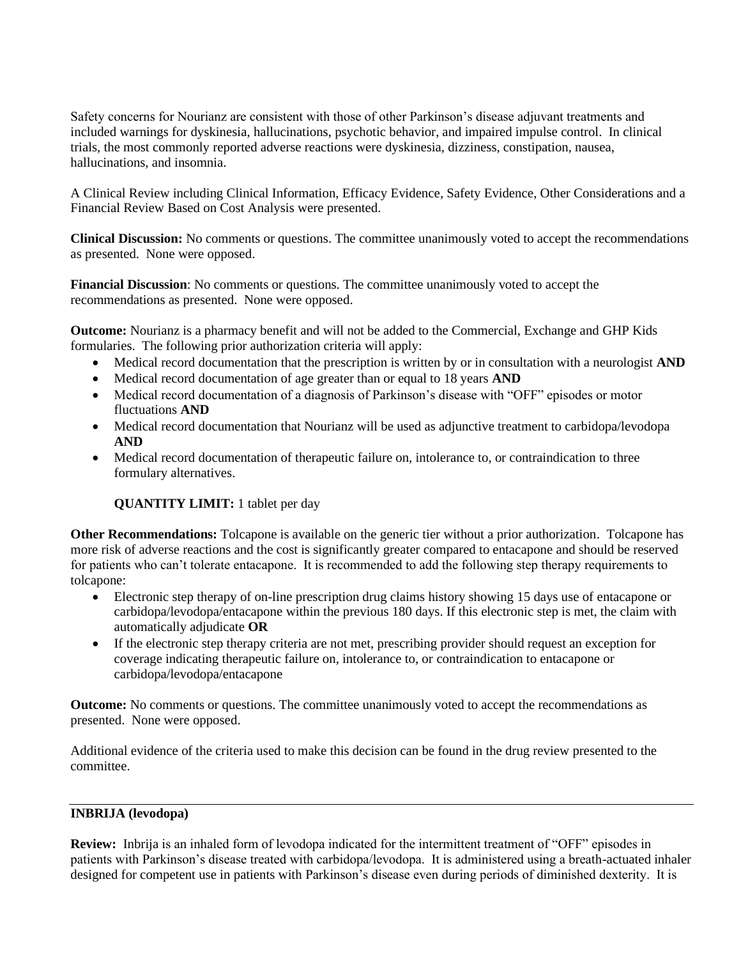Safety concerns for Nourianz are consistent with those of other Parkinson's disease adjuvant treatments and included warnings for dyskinesia, hallucinations, psychotic behavior, and impaired impulse control. In clinical trials, the most commonly reported adverse reactions were dyskinesia, dizziness, constipation, nausea, hallucinations, and insomnia.

A Clinical Review including Clinical Information, Efficacy Evidence, Safety Evidence, Other Considerations and a Financial Review Based on Cost Analysis were presented.

**Clinical Discussion:** No comments or questions. The committee unanimously voted to accept the recommendations as presented. None were opposed.

**Financial Discussion**: No comments or questions. The committee unanimously voted to accept the recommendations as presented. None were opposed.

**Outcome:** Nourianz is a pharmacy benefit and will not be added to the Commercial, Exchange and GHP Kids formularies. The following prior authorization criteria will apply:

- Medical record documentation that the prescription is written by or in consultation with a neurologist **AND**
- Medical record documentation of age greater than or equal to 18 years **AND**
- Medical record documentation of a diagnosis of Parkinson's disease with "OFF" episodes or motor fluctuations **AND**
- Medical record documentation that Nourianz will be used as adjunctive treatment to carbidopa/levodopa **AND**
- Medical record documentation of therapeutic failure on, intolerance to, or contraindication to three formulary alternatives.

# **QUANTITY LIMIT:** 1 tablet per day

**Other Recommendations:** Tolcapone is available on the generic tier without a prior authorization. Tolcapone has more risk of adverse reactions and the cost is significantly greater compared to entacapone and should be reserved for patients who can't tolerate entacapone. It is recommended to add the following step therapy requirements to tolcapone:

- Electronic step therapy of on-line prescription drug claims history showing 15 days use of entacapone or carbidopa/levodopa/entacapone within the previous 180 days. If this electronic step is met, the claim with automatically adjudicate **OR**
- If the electronic step therapy criteria are not met, prescribing provider should request an exception for coverage indicating therapeutic failure on, intolerance to, or contraindication to entacapone or carbidopa/levodopa/entacapone

**Outcome:** No comments or questions. The committee unanimously voted to accept the recommendations as presented. None were opposed.

Additional evidence of the criteria used to make this decision can be found in the drug review presented to the committee.

# **INBRIJA (levodopa)**

**Review:** Inbrija is an inhaled form of levodopa indicated for the intermittent treatment of "OFF" episodes in patients with Parkinson's disease treated with carbidopa/levodopa. It is administered using a breath-actuated inhaler designed for competent use in patients with Parkinson's disease even during periods of diminished dexterity. It is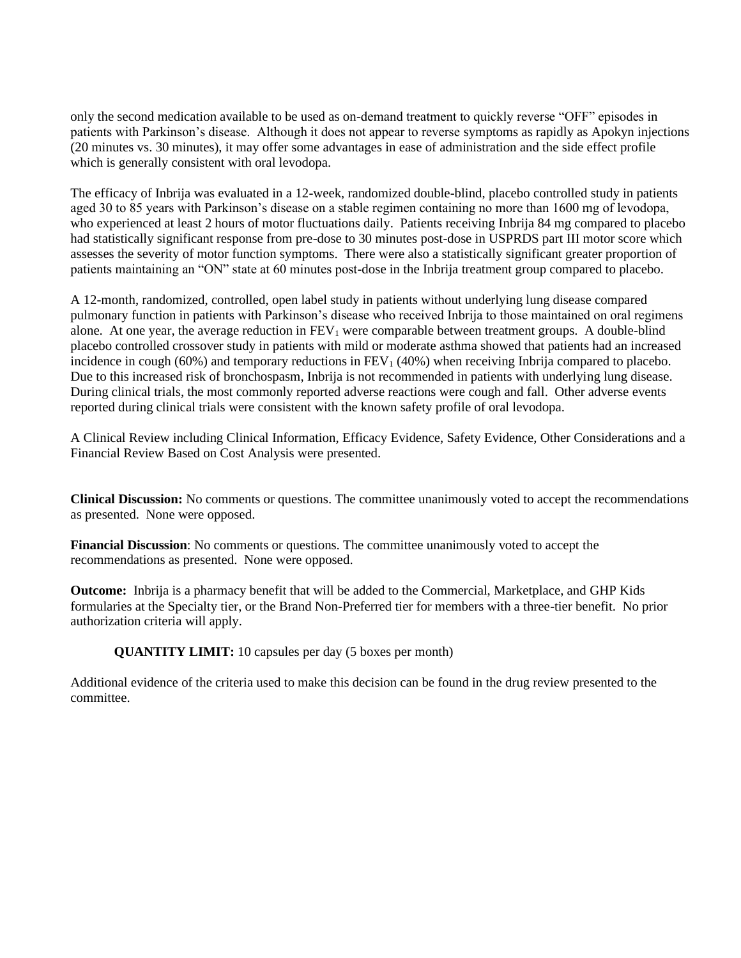only the second medication available to be used as on-demand treatment to quickly reverse "OFF" episodes in patients with Parkinson's disease. Although it does not appear to reverse symptoms as rapidly as Apokyn injections (20 minutes vs. 30 minutes), it may offer some advantages in ease of administration and the side effect profile which is generally consistent with oral levodopa.

The efficacy of Inbrija was evaluated in a 12-week, randomized double-blind, placebo controlled study in patients aged 30 to 85 years with Parkinson's disease on a stable regimen containing no more than 1600 mg of levodopa, who experienced at least 2 hours of motor fluctuations daily. Patients receiving Inbrija 84 mg compared to placebo had statistically significant response from pre-dose to 30 minutes post-dose in USPRDS part III motor score which assesses the severity of motor function symptoms. There were also a statistically significant greater proportion of patients maintaining an "ON" state at 60 minutes post-dose in the Inbrija treatment group compared to placebo.

A 12-month, randomized, controlled, open label study in patients without underlying lung disease compared pulmonary function in patients with Parkinson's disease who received Inbrija to those maintained on oral regimens alone. At one year, the average reduction in  $FEV_1$  were comparable between treatment groups. A double-blind placebo controlled crossover study in patients with mild or moderate asthma showed that patients had an increased incidence in cough (60%) and temporary reductions in  $FEV<sub>1</sub>$  (40%) when receiving Inbrija compared to placebo. Due to this increased risk of bronchospasm, Inbrija is not recommended in patients with underlying lung disease. During clinical trials, the most commonly reported adverse reactions were cough and fall. Other adverse events reported during clinical trials were consistent with the known safety profile of oral levodopa.

A Clinical Review including Clinical Information, Efficacy Evidence, Safety Evidence, Other Considerations and a Financial Review Based on Cost Analysis were presented.

**Clinical Discussion:** No comments or questions. The committee unanimously voted to accept the recommendations as presented. None were opposed.

**Financial Discussion**: No comments or questions. The committee unanimously voted to accept the recommendations as presented. None were opposed.

**Outcome:** Inbrija is a pharmacy benefit that will be added to the Commercial, Marketplace, and GHP Kids formularies at the Specialty tier, or the Brand Non-Preferred tier for members with a three-tier benefit. No prior authorization criteria will apply.

**QUANTITY LIMIT:** 10 capsules per day (5 boxes per month)

Additional evidence of the criteria used to make this decision can be found in the drug review presented to the committee.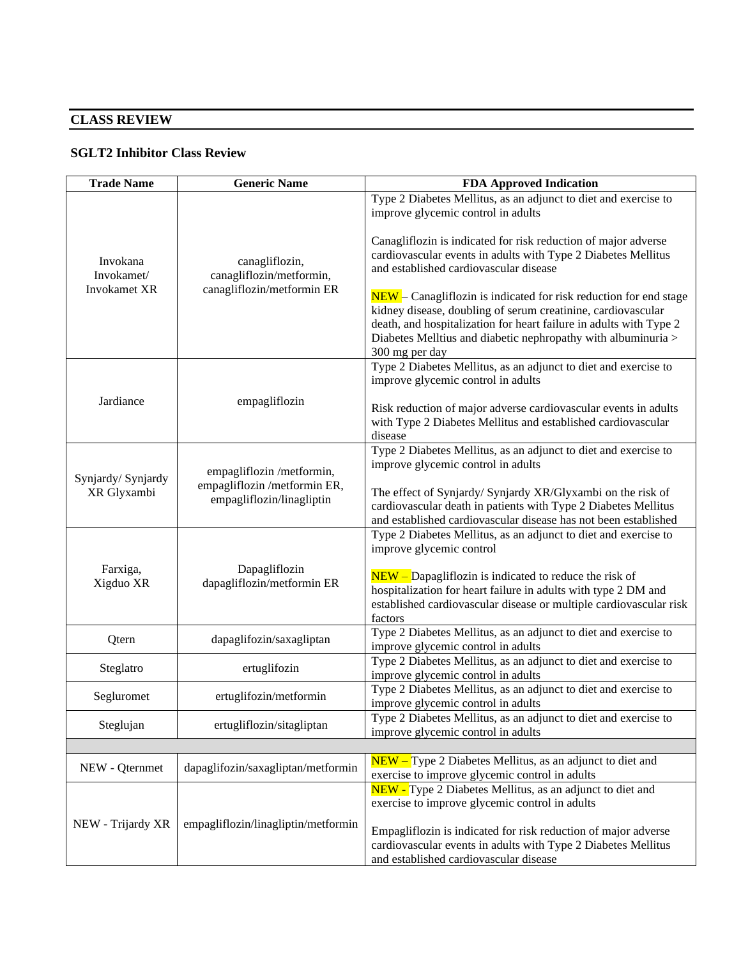# **CLASS REVIEW**

# **SGLT2 Inhibitor Class Review**

| <b>Trade Name</b>                             | <b>Generic Name</b>                                                                    | <b>FDA Approved Indication</b>                                                                                                                                                                                                                                                             |
|-----------------------------------------------|----------------------------------------------------------------------------------------|--------------------------------------------------------------------------------------------------------------------------------------------------------------------------------------------------------------------------------------------------------------------------------------------|
| Invokana<br>Invokamet/<br><b>Invokamet XR</b> | canagliflozin,<br>canagliflozin/metformin,<br>canagliflozin/metformin ER               | Type 2 Diabetes Mellitus, as an adjunct to diet and exercise to<br>improve glycemic control in adults                                                                                                                                                                                      |
|                                               |                                                                                        | Canagliflozin is indicated for risk reduction of major adverse<br>cardiovascular events in adults with Type 2 Diabetes Mellitus<br>and established cardiovascular disease                                                                                                                  |
|                                               |                                                                                        | NEW – Canagliflozin is indicated for risk reduction for end stage<br>kidney disease, doubling of serum creatinine, cardiovascular<br>death, and hospitalization for heart failure in adults with Type 2<br>Diabetes Melltius and diabetic nephropathy with albuminuria ><br>300 mg per day |
| Jardiance                                     | empagliflozin                                                                          | Type 2 Diabetes Mellitus, as an adjunct to diet and exercise to<br>improve glycemic control in adults                                                                                                                                                                                      |
|                                               |                                                                                        | Risk reduction of major adverse cardiovascular events in adults<br>with Type 2 Diabetes Mellitus and established cardiovascular<br>disease                                                                                                                                                 |
| Synjardy/ Synjardy<br>XR Glyxambi             | empagliflozin /metformin,<br>empagliflozin /metformin ER,<br>empagliflozin/linagliptin | Type 2 Diabetes Mellitus, as an adjunct to diet and exercise to<br>improve glycemic control in adults                                                                                                                                                                                      |
|                                               |                                                                                        | The effect of Synjardy/ Synjardy XR/Glyxambi on the risk of<br>cardiovascular death in patients with Type 2 Diabetes Mellitus<br>and established cardiovascular disease has not been established                                                                                           |
| Farxiga,<br>Xigduo XR                         | Dapagliflozin<br>dapagliflozin/metformin ER                                            | Type 2 Diabetes Mellitus, as an adjunct to diet and exercise to<br>improve glycemic control                                                                                                                                                                                                |
|                                               |                                                                                        | $NEW$ – Dapagliflozin is indicated to reduce the risk of<br>hospitalization for heart failure in adults with type 2 DM and<br>established cardiovascular disease or multiple cardiovascular risk<br>factors                                                                                |
| Qtern                                         | dapaglifozin/saxagliptan                                                               | Type 2 Diabetes Mellitus, as an adjunct to diet and exercise to<br>improve glycemic control in adults                                                                                                                                                                                      |
| Steglatro                                     | ertuglifozin                                                                           | Type 2 Diabetes Mellitus, as an adjunct to diet and exercise to<br>improve glycemic control in adults                                                                                                                                                                                      |
| Segluromet                                    | ertuglifozin/metformin                                                                 | Type 2 Diabetes Mellitus, as an adjunct to diet and exercise to<br>improve glycemic control in adults                                                                                                                                                                                      |
| Steglujan                                     | ertugliflozin/sitagliptan                                                              | Type 2 Diabetes Mellitus, as an adjunct to diet and exercise to<br>improve glycemic control in adults                                                                                                                                                                                      |
|                                               |                                                                                        |                                                                                                                                                                                                                                                                                            |
| NEW - Qternmet                                | dapaglifozin/saxagliptan/metformin                                                     | NEW - Type 2 Diabetes Mellitus, as an adjunct to diet and<br>exercise to improve glycemic control in adults                                                                                                                                                                                |
| NEW - Trijardy XR                             | empagliflozin/linagliptin/metformin                                                    | NEW - Type 2 Diabetes Mellitus, as an adjunct to diet and<br>exercise to improve glycemic control in adults                                                                                                                                                                                |
|                                               |                                                                                        | Empagliflozin is indicated for risk reduction of major adverse<br>cardiovascular events in adults with Type 2 Diabetes Mellitus<br>and established cardiovascular disease                                                                                                                  |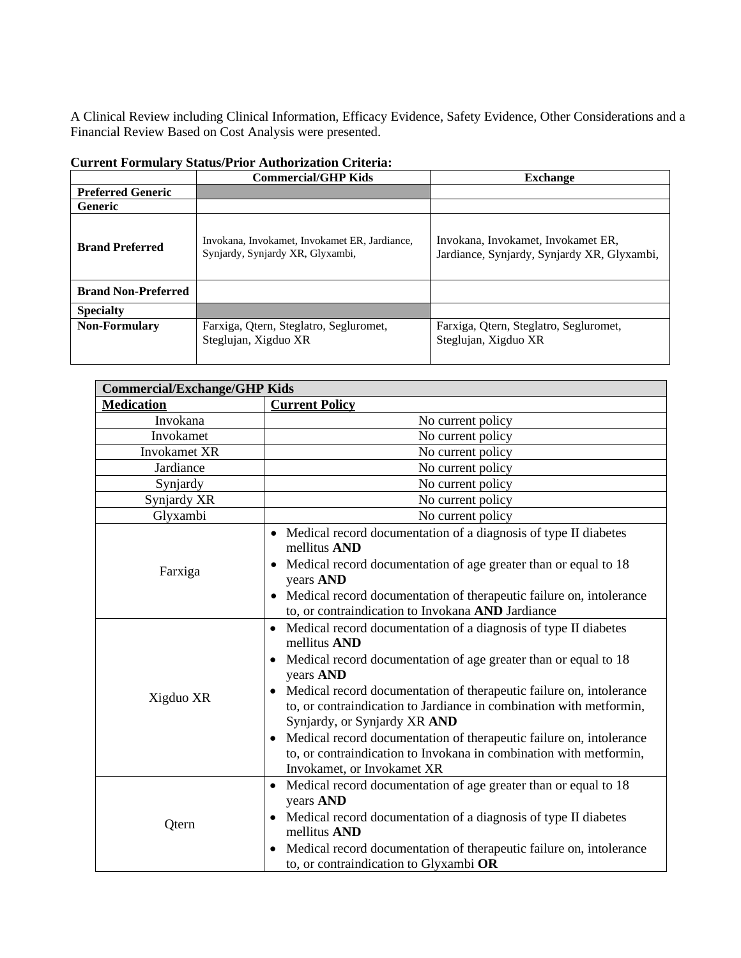A Clinical Review including Clinical Information, Efficacy Evidence, Safety Evidence, Other Considerations and a Financial Review Based on Cost Analysis were presented.

|                            | <b>Commercial/GHP Kids</b>                                                        | <b>Exchange</b>                                                                   |
|----------------------------|-----------------------------------------------------------------------------------|-----------------------------------------------------------------------------------|
| <b>Preferred Generic</b>   |                                                                                   |                                                                                   |
| <b>Generic</b>             |                                                                                   |                                                                                   |
| <b>Brand Preferred</b>     | Invokana, Invokamet, Invokamet ER, Jardiance,<br>Synjardy, Synjardy XR, Glyxambi, | Invokana, Invokamet, Invokamet ER,<br>Jardiance, Synjardy, Synjardy XR, Glyxambi, |
| <b>Brand Non-Preferred</b> |                                                                                   |                                                                                   |
| <b>Specialty</b>           |                                                                                   |                                                                                   |
| <b>Non-Formulary</b>       | Farxiga, Qtern, Steglatro, Segluromet,<br>Steglujan, Xigduo XR                    | Farxiga, Qtern, Steglatro, Segluromet,<br>Steglujan, Xigduo XR                    |

| <b>Commercial/Exchange/GHP Kids</b> |                                                                                                                                                                                                                                                                                                                                                                                                                                                                                                                                       |  |  |
|-------------------------------------|---------------------------------------------------------------------------------------------------------------------------------------------------------------------------------------------------------------------------------------------------------------------------------------------------------------------------------------------------------------------------------------------------------------------------------------------------------------------------------------------------------------------------------------|--|--|
| <b>Medication</b>                   | <b>Current Policy</b>                                                                                                                                                                                                                                                                                                                                                                                                                                                                                                                 |  |  |
| Invokana                            | No current policy                                                                                                                                                                                                                                                                                                                                                                                                                                                                                                                     |  |  |
| Invokamet                           | No current policy                                                                                                                                                                                                                                                                                                                                                                                                                                                                                                                     |  |  |
| Invokamet XR                        | No current policy                                                                                                                                                                                                                                                                                                                                                                                                                                                                                                                     |  |  |
| Jardiance                           | No current policy                                                                                                                                                                                                                                                                                                                                                                                                                                                                                                                     |  |  |
| Synjardy                            | No current policy                                                                                                                                                                                                                                                                                                                                                                                                                                                                                                                     |  |  |
| Synjardy XR                         | No current policy                                                                                                                                                                                                                                                                                                                                                                                                                                                                                                                     |  |  |
| Glyxambi                            | No current policy                                                                                                                                                                                                                                                                                                                                                                                                                                                                                                                     |  |  |
| Farxiga                             | Medical record documentation of a diagnosis of type II diabetes<br>$\bullet$<br>mellitus AND<br>Medical record documentation of age greater than or equal to 18<br>years AND<br>Medical record documentation of therapeutic failure on, intolerance<br>$\bullet$<br>to, or contraindication to Invokana AND Jardiance                                                                                                                                                                                                                 |  |  |
| Xigduo XR                           | Medical record documentation of a diagnosis of type II diabetes<br>$\bullet$<br>mellitus AND<br>Medical record documentation of age greater than or equal to 18<br>years AND<br>Medical record documentation of therapeutic failure on, intolerance<br>to, or contraindication to Jardiance in combination with metformin,<br>Synjardy, or Synjardy XR AND<br>Medical record documentation of therapeutic failure on, intolerance<br>to, or contraindication to Invokana in combination with metformin,<br>Invokamet, or Invokamet XR |  |  |
| Qtern                               | Medical record documentation of age greater than or equal to 18<br>$\bullet$<br>years AND<br>Medical record documentation of a diagnosis of type II diabetes<br>mellitus AND<br>Medical record documentation of therapeutic failure on, intolerance<br>to, or contraindication to Glyxambi OR                                                                                                                                                                                                                                         |  |  |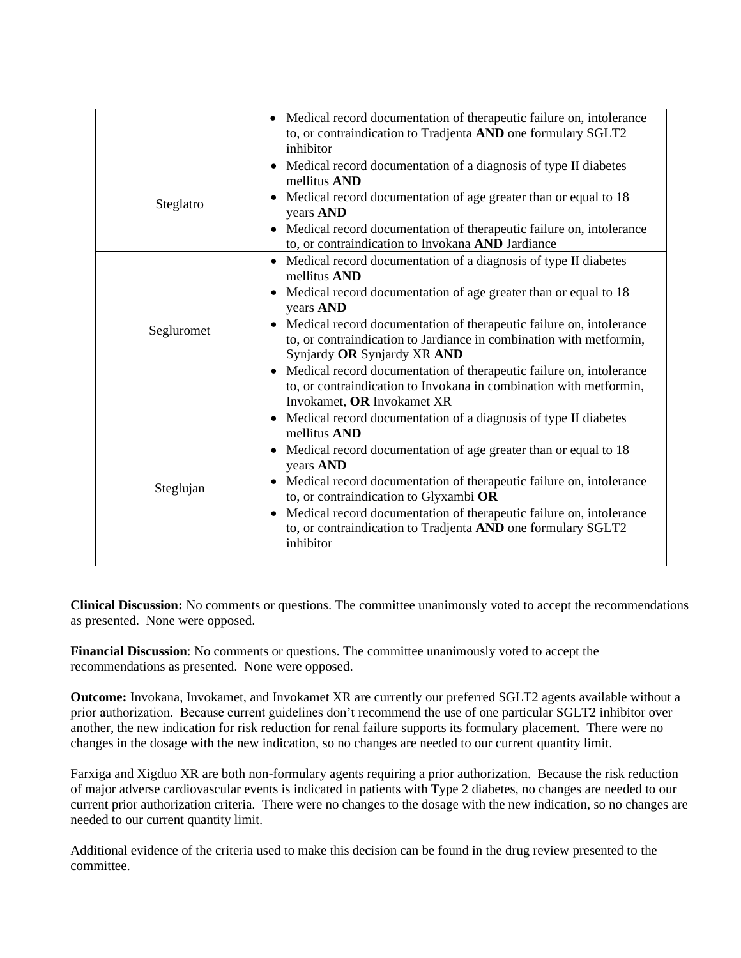|            | • Medical record documentation of therapeutic failure on, intolerance<br>to, or contraindication to Tradjenta AND one formulary SGLT2<br>inhibitor                                                                                                                                                                                                                                                                                                                                                                                                  |
|------------|-----------------------------------------------------------------------------------------------------------------------------------------------------------------------------------------------------------------------------------------------------------------------------------------------------------------------------------------------------------------------------------------------------------------------------------------------------------------------------------------------------------------------------------------------------|
| Steglatro  | • Medical record documentation of a diagnosis of type II diabetes<br>mellitus AND<br>• Medical record documentation of age greater than or equal to 18<br>years AND<br>• Medical record documentation of therapeutic failure on, intolerance<br>to, or contraindication to Invokana AND Jardiance                                                                                                                                                                                                                                                   |
| Segluromet | Medical record documentation of a diagnosis of type II diabetes<br>$\bullet$<br>mellitus AND<br>• Medical record documentation of age greater than or equal to 18<br>years AND<br>Medical record documentation of therapeutic failure on, intolerance<br>to, or contraindication to Jardiance in combination with metformin,<br>Synjardy OR Synjardy XR AND<br>Medical record documentation of therapeutic failure on, intolerance<br>$\bullet$<br>to, or contraindication to Invokana in combination with metformin,<br>Invokamet, OR Invokamet XR |
| Steglujan  | Medical record documentation of a diagnosis of type II diabetes<br>$\bullet$<br>mellitus AND<br>• Medical record documentation of age greater than or equal to 18<br>years AND<br>Medical record documentation of therapeutic failure on, intolerance<br>to, or contraindication to Glyxambi OR<br>Medical record documentation of therapeutic failure on, intolerance<br>$\bullet$<br>to, or contraindication to Tradjenta AND one formulary SGLT2<br>inhibitor                                                                                    |

**Clinical Discussion:** No comments or questions. The committee unanimously voted to accept the recommendations as presented. None were opposed.

**Financial Discussion**: No comments or questions. The committee unanimously voted to accept the recommendations as presented. None were opposed.

**Outcome:** Invokana, Invokamet, and Invokamet XR are currently our preferred SGLT2 agents available without a prior authorization. Because current guidelines don't recommend the use of one particular SGLT2 inhibitor over another, the new indication for risk reduction for renal failure supports its formulary placement. There were no changes in the dosage with the new indication, so no changes are needed to our current quantity limit.

Farxiga and Xigduo XR are both non-formulary agents requiring a prior authorization. Because the risk reduction of major adverse cardiovascular events is indicated in patients with Type 2 diabetes, no changes are needed to our current prior authorization criteria. There were no changes to the dosage with the new indication, so no changes are needed to our current quantity limit.

Additional evidence of the criteria used to make this decision can be found in the drug review presented to the committee.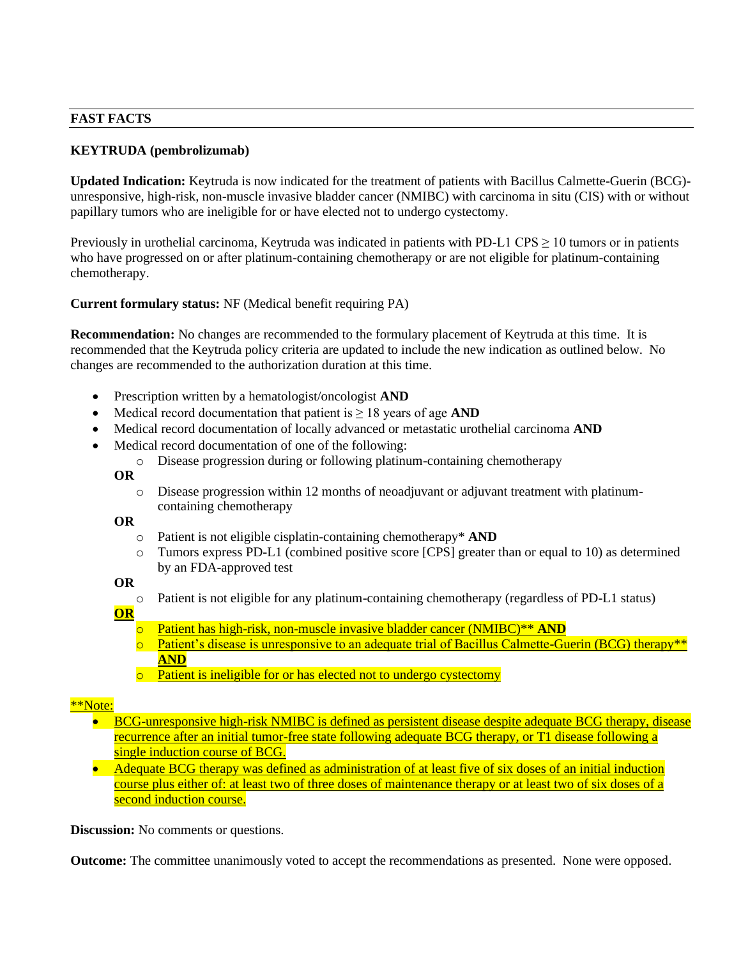# **FAST FACTS**

# **KEYTRUDA (pembrolizumab)**

**Updated Indication:** Keytruda is now indicated for the treatment of patients with Bacillus Calmette-Guerin (BCG) unresponsive, high-risk, non-muscle invasive bladder cancer (NMIBC) with carcinoma in situ (CIS) with or without papillary tumors who are ineligible for or have elected not to undergo cystectomy.

Previously in urothelial carcinoma, Keytruda was indicated in patients with PD-L1 CPS  $\geq$  10 tumors or in patients who have progressed on or after platinum-containing chemotherapy or are not eligible for platinum-containing chemotherapy.

**Current formulary status:** NF (Medical benefit requiring PA)

**Recommendation:** No changes are recommended to the formulary placement of Keytruda at this time. It is recommended that the Keytruda policy criteria are updated to include the new indication as outlined below. No changes are recommended to the authorization duration at this time.

- Prescription written by a hematologist/oncologist **AND**
- Medical record documentation that patient is ≥ 18 years of age **AND**
- Medical record documentation of locally advanced or metastatic urothelial carcinoma **AND**
- Medical record documentation of one of the following:
	- o Disease progression during or following platinum-containing chemotherapy
	- **OR**
		- $\circ$  Disease progression within 12 months of neoadjuvant or adjuvant treatment with platinumcontaining chemotherapy

#### **OR**

- o Patient is not eligible cisplatin-containing chemotherapy\* **AND**
- o Tumors express PD-L1 (combined positive score [CPS] greater than or equal to 10) as determined by an FDA-approved test

# **OR**

o Patient is not eligible for any platinum-containing chemotherapy (regardless of PD-L1 status)

# **OR**

- o Patient has high-risk, non-muscle invasive bladder cancer (NMIBC)\*\* **AND**
- $\circ$  Patient's disease is unresponsive to an adequate trial of Bacillus Calmette-Guerin (BCG) therapy\*\* **AND**
- o Patient is ineligible for or has elected not to undergo cystectomy

# \*\*Note:

- BCG-unresponsive high-risk NMIBC is defined as persistent disease despite adequate BCG therapy, disease recurrence after an initial tumor-free state following adequate BCG therapy, or T1 disease following a single induction course of BCG.
- Adequate BCG therapy was defined as administration of at least five of six doses of an initial induction course plus either of: at least two of three doses of maintenance therapy or at least two of six doses of a second induction course.

**Discussion:** No comments or questions.

**Outcome:** The committee unanimously voted to accept the recommendations as presented. None were opposed.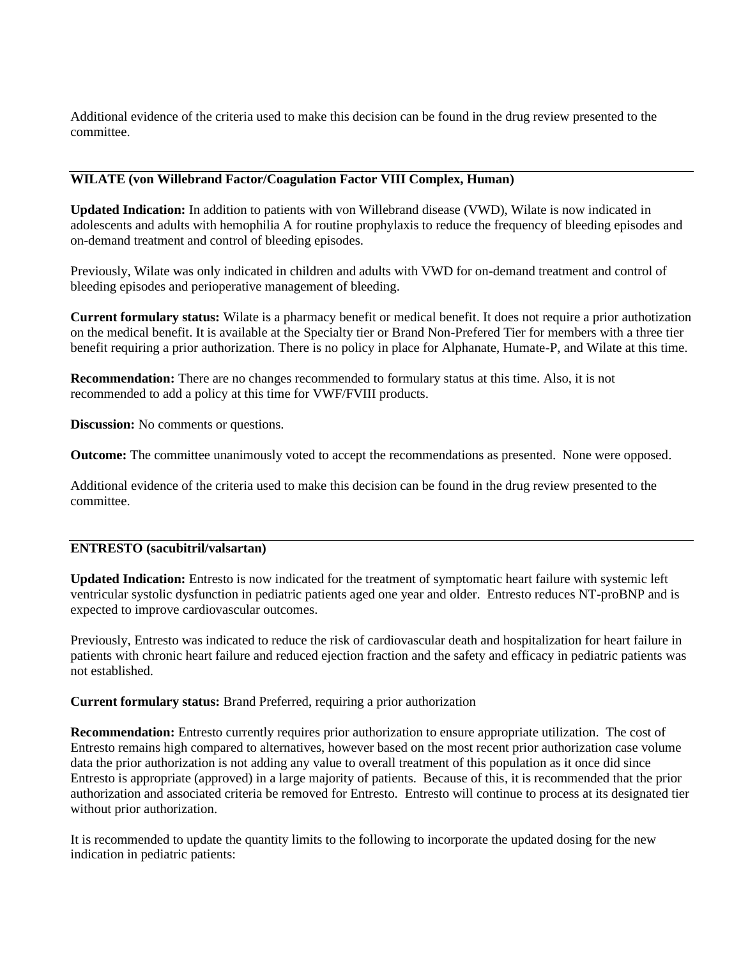Additional evidence of the criteria used to make this decision can be found in the drug review presented to the committee.

# **WILATE (von Willebrand Factor/Coagulation Factor VIII Complex, Human)**

**Updated Indication:** In addition to patients with von Willebrand disease (VWD), Wilate is now indicated in adolescents and adults with hemophilia A for routine prophylaxis to reduce the frequency of bleeding episodes and on-demand treatment and control of bleeding episodes.

Previously, Wilate was only indicated in children and adults with VWD for on-demand treatment and control of bleeding episodes and perioperative management of bleeding.

**Current formulary status:** Wilate is a pharmacy benefit or medical benefit. It does not require a prior authotization on the medical benefit. It is available at the Specialty tier or Brand Non-Prefered Tier for members with a three tier benefit requiring a prior authorization. There is no policy in place for Alphanate, Humate-P, and Wilate at this time.

**Recommendation:** There are no changes recommended to formulary status at this time. Also, it is not recommended to add a policy at this time for VWF/FVIII products.

**Discussion:** No comments or questions.

**Outcome:** The committee unanimously voted to accept the recommendations as presented. None were opposed.

Additional evidence of the criteria used to make this decision can be found in the drug review presented to the committee.

# **ENTRESTO (sacubitril/valsartan)**

**Updated Indication:** Entresto is now indicated for the treatment of symptomatic heart failure with systemic left ventricular systolic dysfunction in pediatric patients aged one year and older. Entresto reduces NT-proBNP and is expected to improve cardiovascular outcomes.

Previously, Entresto was indicated to reduce the risk of cardiovascular death and hospitalization for heart failure in patients with chronic heart failure and reduced ejection fraction and the safety and efficacy in pediatric patients was not established.

**Current formulary status:** Brand Preferred, requiring a prior authorization

**Recommendation:** Entresto currently requires prior authorization to ensure appropriate utilization. The cost of Entresto remains high compared to alternatives, however based on the most recent prior authorization case volume data the prior authorization is not adding any value to overall treatment of this population as it once did since Entresto is appropriate (approved) in a large majority of patients. Because of this, it is recommended that the prior authorization and associated criteria be removed for Entresto. Entresto will continue to process at its designated tier without prior authorization.

It is recommended to update the quantity limits to the following to incorporate the updated dosing for the new indication in pediatric patients: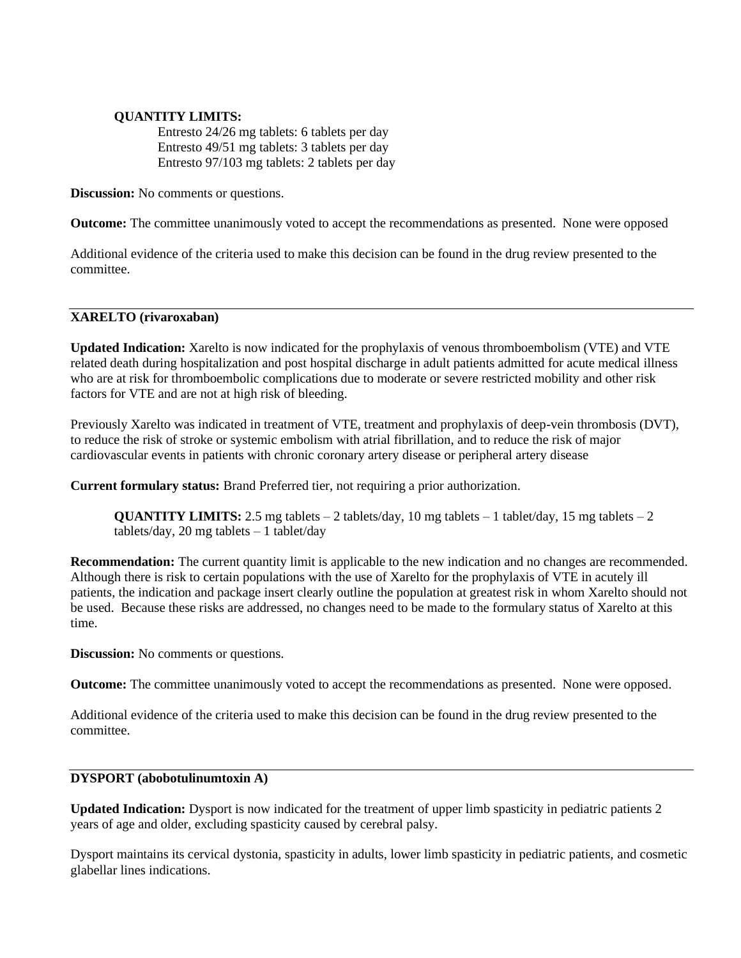# **QUANTITY LIMITS:**

Entresto 24/26 mg tablets: 6 tablets per day Entresto 49/51 mg tablets: 3 tablets per day Entresto 97/103 mg tablets: 2 tablets per day

**Discussion:** No comments or questions.

**Outcome:** The committee unanimously voted to accept the recommendations as presented. None were opposed

Additional evidence of the criteria used to make this decision can be found in the drug review presented to the committee.

#### **XARELTO (rivaroxaban)**

**Updated Indication:** Xarelto is now indicated for the prophylaxis of venous thromboembolism (VTE) and VTE related death during hospitalization and post hospital discharge in adult patients admitted for acute medical illness who are at risk for thromboembolic complications due to moderate or severe restricted mobility and other risk factors for VTE and are not at high risk of bleeding.

Previously Xarelto was indicated in treatment of VTE, treatment and prophylaxis of deep-vein thrombosis (DVT), to reduce the risk of stroke or systemic embolism with atrial fibrillation, and to reduce the risk of major cardiovascular events in patients with chronic coronary artery disease or peripheral artery disease

**Current formulary status:** Brand Preferred tier, not requiring a prior authorization.

**QUANTITY LIMITS:** 2.5 mg tablets  $-2$  tablets/day, 10 mg tablets  $-1$  tablet/day, 15 mg tablets  $-2$  $tablets/day, 20 mg tablets - 1 tablet/day$ 

**Recommendation:** The current quantity limit is applicable to the new indication and no changes are recommended. Although there is risk to certain populations with the use of Xarelto for the prophylaxis of VTE in acutely ill patients, the indication and package insert clearly outline the population at greatest risk in whom Xarelto should not be used. Because these risks are addressed, no changes need to be made to the formulary status of Xarelto at this time.

**Discussion:** No comments or questions.

**Outcome:** The committee unanimously voted to accept the recommendations as presented. None were opposed.

Additional evidence of the criteria used to make this decision can be found in the drug review presented to the committee.

# **DYSPORT (abobotulinumtoxin A)**

**Updated Indication:** Dysport is now indicated for the treatment of upper limb spasticity in pediatric patients 2 years of age and older, excluding spasticity caused by cerebral palsy.

Dysport maintains its cervical dystonia, spasticity in adults, lower limb spasticity in pediatric patients, and cosmetic glabellar lines indications.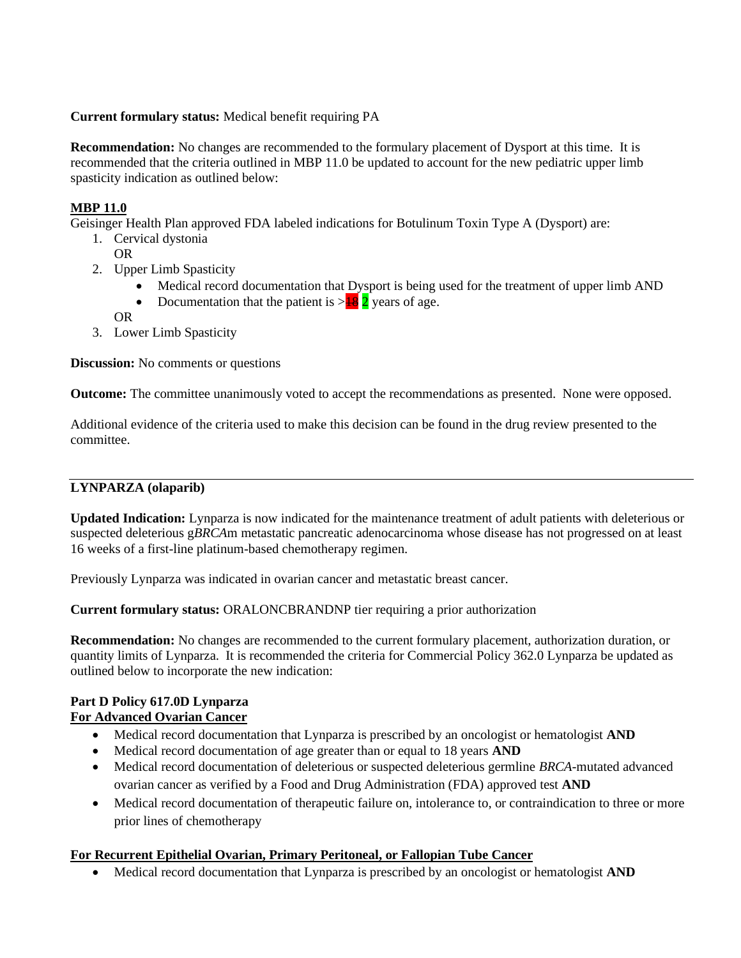# **Current formulary status:** Medical benefit requiring PA

**Recommendation:** No changes are recommended to the formulary placement of Dysport at this time. It is recommended that the criteria outlined in MBP 11.0 be updated to account for the new pediatric upper limb spasticity indication as outlined below:

# **MBP 11.0**

Geisinger Health Plan approved FDA labeled indications for Botulinum Toxin Type A (Dysport) are:

- 1. Cervical dystonia
	- OR
- 2. Upper Limb Spasticity
	- Medical record documentation that Dysport is being used for the treatment of upper limb AND
	- Documentation that the patient is  $>18/2$  years of age.
	- OR
- 3. Lower Limb Spasticity

**Discussion:** No comments or questions

**Outcome:** The committee unanimously voted to accept the recommendations as presented. None were opposed.

Additional evidence of the criteria used to make this decision can be found in the drug review presented to the committee.

# **LYNPARZA (olaparib)**

**Updated Indication:** Lynparza is now indicated for the maintenance treatment of adult patients with deleterious or suspected deleterious g*BRCA*m metastatic pancreatic adenocarcinoma whose disease has not progressed on at least 16 weeks of a first-line platinum-based chemotherapy regimen.

Previously Lynparza was indicated in ovarian cancer and metastatic breast cancer.

**Current formulary status:** ORALONCBRANDNP tier requiring a prior authorization

**Recommendation:** No changes are recommended to the current formulary placement, authorization duration, or quantity limits of Lynparza. It is recommended the criteria for Commercial Policy 362.0 Lynparza be updated as outlined below to incorporate the new indication:

# **Part D Policy 617.0D Lynparza For Advanced Ovarian Cancer**

- Medical record documentation that Lynparza is prescribed by an oncologist or hematologist **AND**
- Medical record documentation of age greater than or equal to 18 years **AND**
- Medical record documentation of deleterious or suspected deleterious germline *BRCA*-mutated advanced ovarian cancer as verified by a Food and Drug Administration (FDA) approved test **AND**
- Medical record documentation of therapeutic failure on, intolerance to, or contraindication to three or more prior lines of chemotherapy

# **For Recurrent Epithelial Ovarian, Primary Peritoneal, or Fallopian Tube Cancer**

• Medical record documentation that Lynparza is prescribed by an oncologist or hematologist **AND**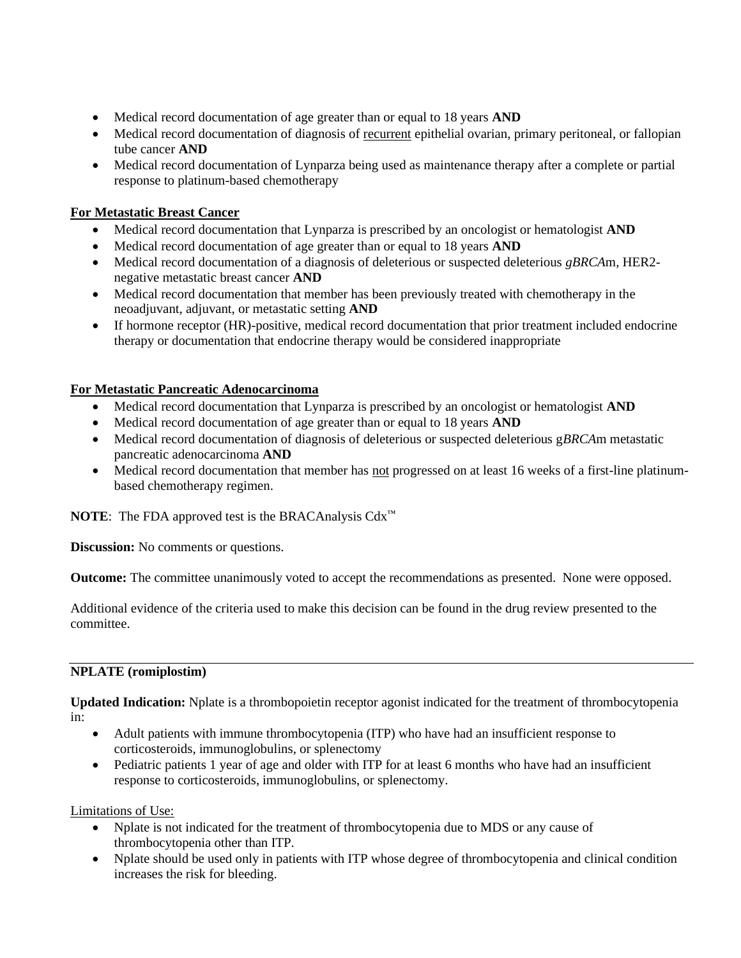- Medical record documentation of age greater than or equal to 18 years **AND**
- Medical record documentation of diagnosis of recurrent epithelial ovarian, primary peritoneal, or fallopian tube cancer **AND**
- Medical record documentation of Lynparza being used as maintenance therapy after a complete or partial response to platinum-based chemotherapy

# **For Metastatic Breast Cancer**

- Medical record documentation that Lynparza is prescribed by an oncologist or hematologist **AND**
- Medical record documentation of age greater than or equal to 18 years **AND**
- Medical record documentation of a diagnosis of deleterious or suspected deleterious *gBRCA*m, HER2 negative metastatic breast cancer **AND**
- Medical record documentation that member has been previously treated with chemotherapy in the neoadjuvant, adjuvant, or metastatic setting **AND**
- If hormone receptor (HR)-positive, medical record documentation that prior treatment included endocrine therapy or documentation that endocrine therapy would be considered inappropriate

# **For Metastatic Pancreatic Adenocarcinoma**

- Medical record documentation that Lynparza is prescribed by an oncologist or hematologist **AND**
- Medical record documentation of age greater than or equal to 18 years **AND**
- Medical record documentation of diagnosis of deleterious or suspected deleterious g*BRCA*m metastatic pancreatic adenocarcinoma **AND**
- Medical record documentation that member has not progressed on at least 16 weeks of a first-line platinumbased chemotherapy regimen.

**NOTE**: The FDA approved test is the BRACAnalysis Cdx™

**Discussion:** No comments or questions.

**Outcome:** The committee unanimously voted to accept the recommendations as presented. None were opposed.

Additional evidence of the criteria used to make this decision can be found in the drug review presented to the committee.

# **NPLATE (romiplostim)**

**Updated Indication:** Nplate is a thrombopoietin receptor agonist indicated for the treatment of thrombocytopenia in:

- Adult patients with immune thrombocytopenia (ITP) who have had an insufficient response to corticosteroids, immunoglobulins, or splenectomy
- Pediatric patients 1 year of age and older with ITP for at least 6 months who have had an insufficient response to corticosteroids, immunoglobulins, or splenectomy.

Limitations of Use:

- Nplate is not indicated for the treatment of thrombocytopenia due to MDS or any cause of thrombocytopenia other than ITP.
- Nplate should be used only in patients with ITP whose degree of thrombocytopenia and clinical condition increases the risk for bleeding.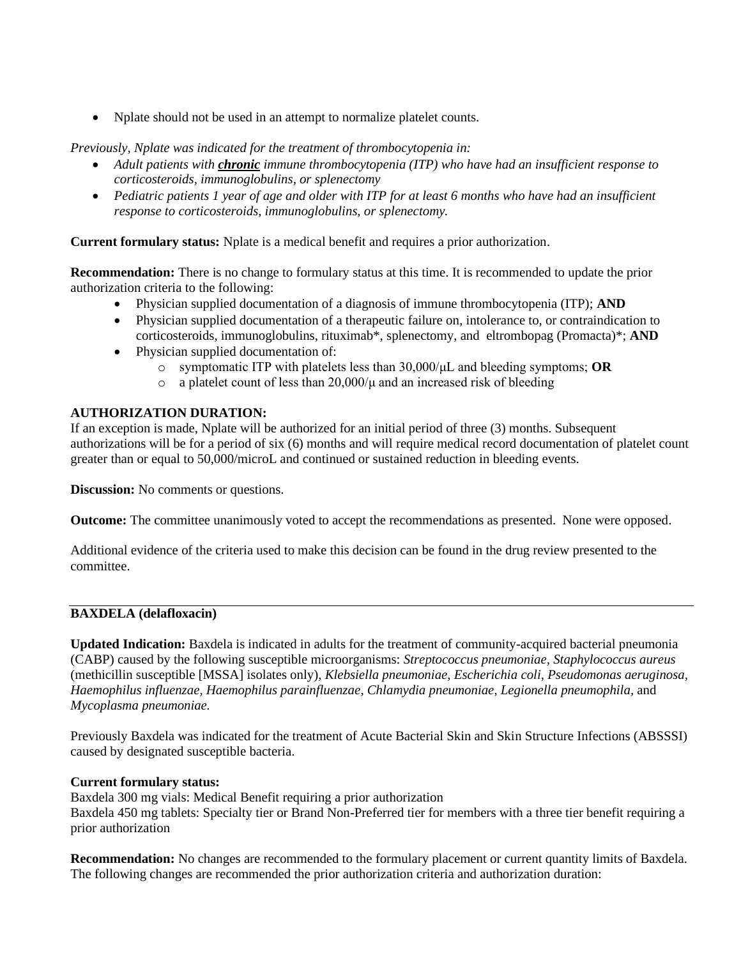• Nplate should not be used in an attempt to normalize platelet counts.

*Previously, Nplate was indicated for the treatment of thrombocytopenia in:* 

- *Adult patients with chronic immune thrombocytopenia (ITP) who have had an insufficient response to corticosteroids, immunoglobulins, or splenectomy*
- *Pediatric patients 1 year of age and older with ITP for at least 6 months who have had an insufficient response to corticosteroids, immunoglobulins, or splenectomy.*

**Current formulary status:** Nplate is a medical benefit and requires a prior authorization.

**Recommendation:** There is no change to formulary status at this time. It is recommended to update the prior authorization criteria to the following:

- Physician supplied documentation of a diagnosis of immune thrombocytopenia (ITP); **AND**
- Physician supplied documentation of a therapeutic failure on, intolerance to, or contraindication to corticosteroids, immunoglobulins, rituximab\*, splenectomy, and eltrombopag (Promacta)\*; **AND**
- Physician supplied documentation of:
	- o symptomatic ITP with platelets less than 30,000/μL and bleeding symptoms; **OR**
	- o a platelet count of less than  $20,000/\mu$  and an increased risk of bleeding

# **AUTHORIZATION DURATION:**

If an exception is made, Nplate will be authorized for an initial period of three (3) months. Subsequent authorizations will be for a period of six (6) months and will require medical record documentation of platelet count greater than or equal to 50,000/microL and continued or sustained reduction in bleeding events.

**Discussion:** No comments or questions.

**Outcome:** The committee unanimously voted to accept the recommendations as presented. None were opposed.

Additional evidence of the criteria used to make this decision can be found in the drug review presented to the committee.

# **BAXDELA (delafloxacin)**

**Updated Indication:** Baxdela is indicated in adults for the treatment of community-acquired bacterial pneumonia (CABP) caused by the following susceptible microorganisms: *Streptococcus pneumoniae, Staphylococcus aureus*  (methicillin susceptible [MSSA] isolates only), *Klebsiella pneumoniae*, *Escherichia coli, Pseudomonas aeruginosa, Haemophilus influenzae, Haemophilus parainfluenzae*, *Chlamydia pneumoniae*, *Legionella pneumophila,* and *Mycoplasma pneumoniae.*

Previously Baxdela was indicated for the treatment of Acute Bacterial Skin and Skin Structure Infections (ABSSSI) caused by designated susceptible bacteria.

# **Current formulary status:**

Baxdela 300 mg vials: Medical Benefit requiring a prior authorization Baxdela 450 mg tablets: Specialty tier or Brand Non-Preferred tier for members with a three tier benefit requiring a prior authorization

**Recommendation:** No changes are recommended to the formulary placement or current quantity limits of Baxdela. The following changes are recommended the prior authorization criteria and authorization duration: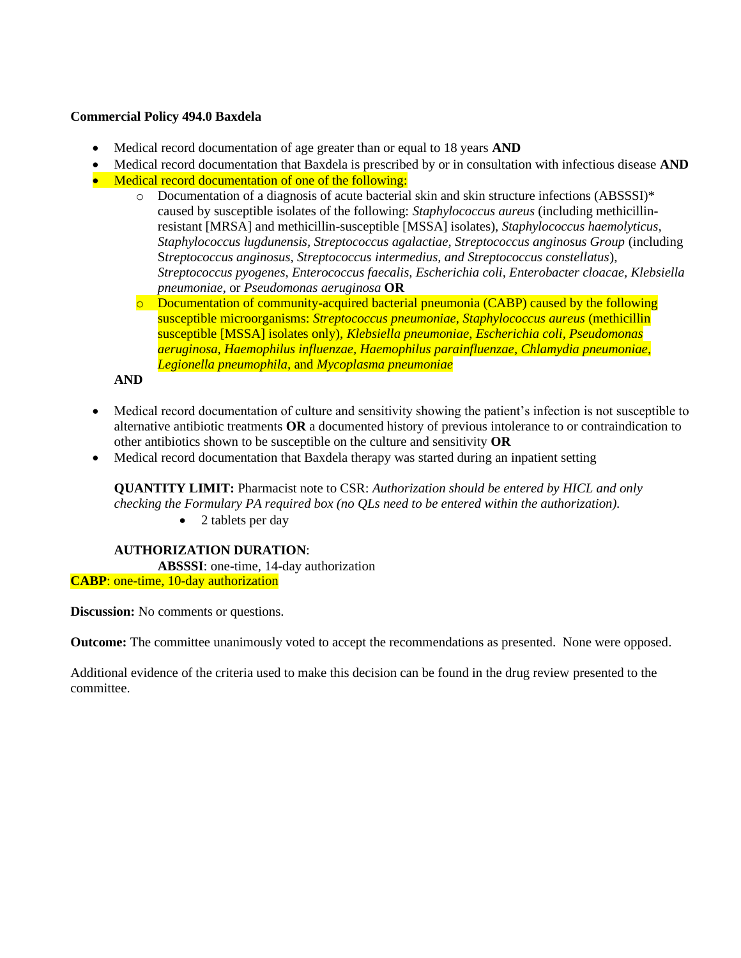# **Commercial Policy 494.0 Baxdela**

- Medical record documentation of age greater than or equal to 18 years **AND**
- Medical record documentation that Baxdela is prescribed by or in consultation with infectious disease **AND**
- Medical record documentation of one of the following:
	- $\circ$  Documentation of a diagnosis of acute bacterial skin and skin structure infections (ABSSSI)\* caused by susceptible isolates of the following: *Staphylococcus aureus* (including methicillinresistant [MRSA] and methicillin-susceptible [MSSA] isolates), *Staphylococcus haemolyticus, Staphylococcus lugdunensis, Streptococcus agalactiae, Streptococcus anginosus Group* (including S*treptococcus anginosus, Streptococcus intermedius, and Streptococcus constellatus*), *Streptococcus pyogenes*, *Enterococcus faecalis, Escherichia coli, Enterobacter cloacae, Klebsiella pneumoniae*, or *Pseudomonas aeruginosa* **OR**
	- o Documentation of community-acquired bacterial pneumonia (CABP) caused by the following susceptible microorganisms: *Streptococcus pneumoniae, Staphylococcus aureus* (methicillin susceptible [MSSA] isolates only), *Klebsiella pneumoniae*, *Escherichia coli, Pseudomonas aeruginosa, Haemophilus influenzae, Haemophilus parainfluenzae*, *Chlamydia pneumoniae*, *Legionella pneumophila,* and *Mycoplasma pneumoniae*

**AND**

- Medical record documentation of culture and sensitivity showing the patient's infection is not susceptible to alternative antibiotic treatments **OR** a documented history of previous intolerance to or contraindication to other antibiotics shown to be susceptible on the culture and sensitivity **OR**
- Medical record documentation that Baxdela therapy was started during an inpatient setting

**QUANTITY LIMIT:** Pharmacist note to CSR: *Authorization should be entered by HICL and only checking the Formulary PA required box (no QLs need to be entered within the authorization).* 

• 2 tablets per day

#### **AUTHORIZATION DURATION**:

**ABSSSI**: one-time, 14-day authorization **CABP**: one-time, 10-day authorization

**Discussion:** No comments or questions.

**Outcome:** The committee unanimously voted to accept the recommendations as presented. None were opposed.

Additional evidence of the criteria used to make this decision can be found in the drug review presented to the committee.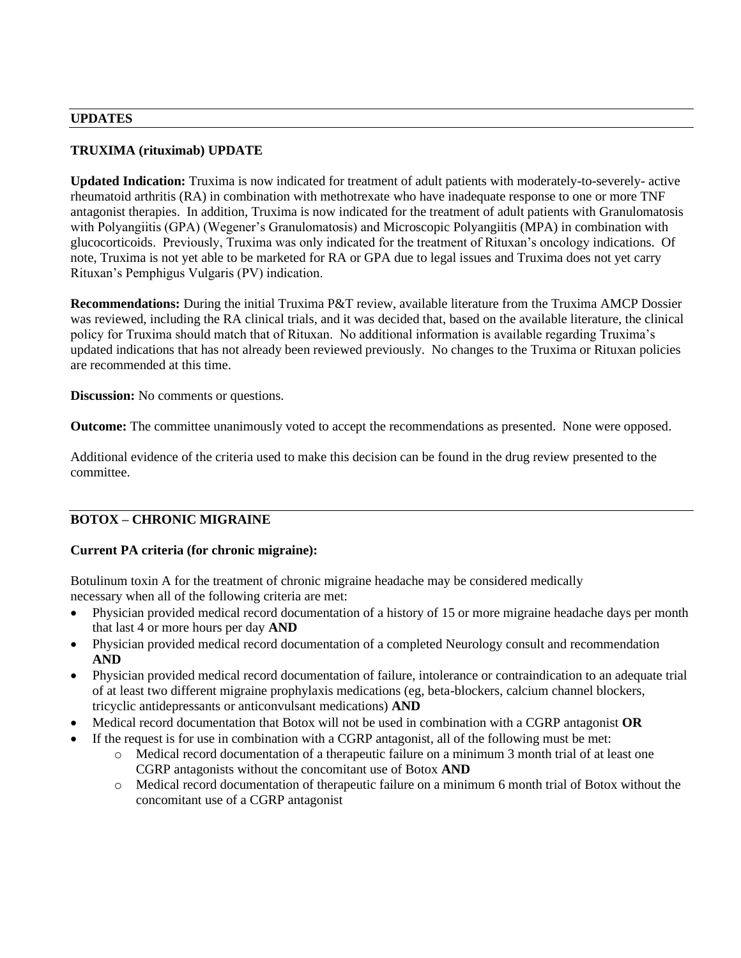#### **UPDATES**

# **TRUXIMA (rituximab) UPDATE**

**Updated Indication:** Truxima is now indicated for treatment of adult patients with moderately-to-severely- active rheumatoid arthritis (RA) in combination with methotrexate who have inadequate response to one or more TNF antagonist therapies. In addition, Truxima is now indicated for the treatment of adult patients with Granulomatosis with Polyangiitis (GPA) (Wegener's Granulomatosis) and Microscopic Polyangiitis (MPA) in combination with glucocorticoids. Previously, Truxima was only indicated for the treatment of Rituxan's oncology indications. Of note, Truxima is not yet able to be marketed for RA or GPA due to legal issues and Truxima does not yet carry Rituxan's Pemphigus Vulgaris (PV) indication.

**Recommendations:** During the initial Truxima P&T review, available literature from the Truxima AMCP Dossier was reviewed, including the RA clinical trials, and it was decided that, based on the available literature, the clinical policy for Truxima should match that of Rituxan. No additional information is available regarding Truxima's updated indications that has not already been reviewed previously. No changes to the Truxima or Rituxan policies are recommended at this time.

**Discussion:** No comments or questions.

**Outcome:** The committee unanimously voted to accept the recommendations as presented. None were opposed.

Additional evidence of the criteria used to make this decision can be found in the drug review presented to the committee.

# **BOTOX – CHRONIC MIGRAINE**

# **Current PA criteria (for chronic migraine):**

Botulinum toxin A for the treatment of chronic migraine headache may be considered medically necessary when all of the following criteria are met:

- Physician provided medical record documentation of a history of 15 or more migraine headache days per month that last 4 or more hours per day **AND**
- Physician provided medical record documentation of a completed Neurology consult and recommendation **AND**
- Physician provided medical record documentation of failure, intolerance or contraindication to an adequate trial of at least two different migraine prophylaxis medications (eg, beta-blockers, calcium channel blockers, tricyclic antidepressants or anticonvulsant medications) **AND**
- Medical record documentation that Botox will not be used in combination with a CGRP antagonist **OR**
- If the request is for use in combination with a CGRP antagonist, all of the following must be met:
	- o Medical record documentation of a therapeutic failure on a minimum 3 month trial of at least one CGRP antagonists without the concomitant use of Botox **AND**
	- o Medical record documentation of therapeutic failure on a minimum 6 month trial of Botox without the concomitant use of a CGRP antagonist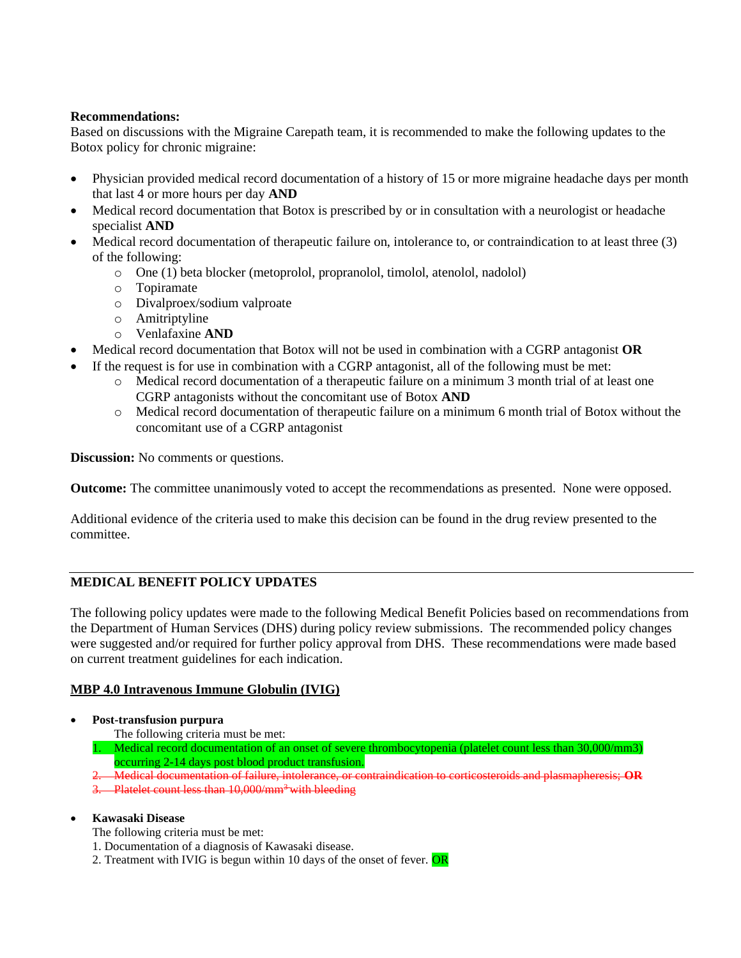# **Recommendations:**

Based on discussions with the Migraine Carepath team, it is recommended to make the following updates to the Botox policy for chronic migraine:

- Physician provided medical record documentation of a history of 15 or more migraine headache days per month that last 4 or more hours per day **AND**
- Medical record documentation that Botox is prescribed by or in consultation with a neurologist or headache specialist **AND**
- Medical record documentation of therapeutic failure on, intolerance to, or contraindication to at least three (3) of the following:
	- o One (1) beta blocker (metoprolol, propranolol, timolol, atenolol, nadolol)
	- o Topiramate
	- o Divalproex/sodium valproate
	- o Amitriptyline
	- o Venlafaxine **AND**
- Medical record documentation that Botox will not be used in combination with a CGRP antagonist **OR**
- If the request is for use in combination with a CGRP antagonist, all of the following must be met:
	- o Medical record documentation of a therapeutic failure on a minimum 3 month trial of at least one CGRP antagonists without the concomitant use of Botox **AND**
	- o Medical record documentation of therapeutic failure on a minimum 6 month trial of Botox without the concomitant use of a CGRP antagonist

**Discussion:** No comments or questions.

**Outcome:** The committee unanimously voted to accept the recommendations as presented. None were opposed.

Additional evidence of the criteria used to make this decision can be found in the drug review presented to the committee.

# **MEDICAL BENEFIT POLICY UPDATES**

The following policy updates were made to the following Medical Benefit Policies based on recommendations from the Department of Human Services (DHS) during policy review submissions. The recommended policy changes were suggested and/or required for further policy approval from DHS. These recommendations were made based on current treatment guidelines for each indication.

# **MBP 4.0 Intravenous Immune Globulin (IVIG)**

- **Post-transfusion purpura**
	- The following criteria must be met:

1. Medical record documentation of an onset of severe thrombocytopenia (platelet count less than 30,000/mm3) occurring 2-14 days post blood product transfusion.

- 2. Medical documentation of failure, intolerance, or contraindication to corticosteroids and plasmapheresis; **OR**
- 3. Platelet count less than 10,000/mm<sup>3</sup> with bleeding

# • **Kawasaki Disease**

- The following criteria must be met:
- 1. Documentation of a diagnosis of Kawasaki disease.
- 2. Treatment with IVIG is begun within 10 days of the onset of fever. OR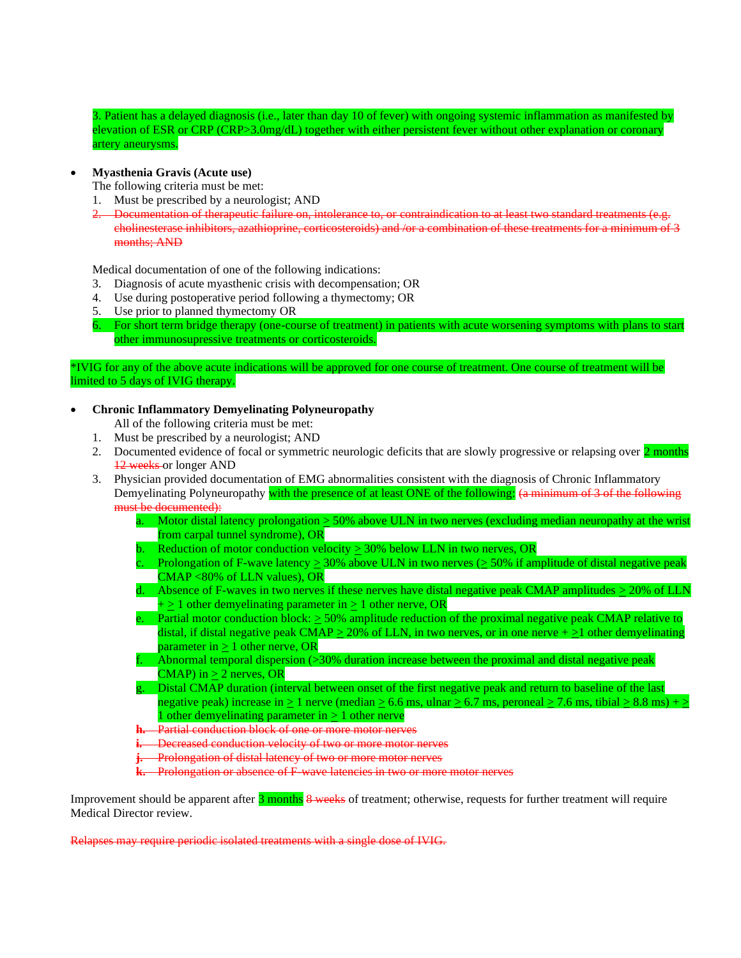3. Patient has a delayed diagnosis (i.e., later than day 10 of fever) with ongoing systemic inflammation as manifested by elevation of ESR or CRP (CRP>3.0mg/dL) together with either persistent fever without other explanation or coronary artery aneurysms.

#### • **Myasthenia Gravis (Acute use)**

The following criteria must be met:

- 1. Must be prescribed by a neurologist; AND
- 2. Documentation of therapeutic failure on, intolerance to, or contraindication to at least two standard treatments (e.g. cholinesterase inhibitors, azathioprine, corticosteroids) and /or a combination of these treatments for a minimum of 3 months; AND

Medical documentation of one of the following indications:

- 3. Diagnosis of acute myasthenic crisis with decompensation; OR
- 4. Use during postoperative period following a thymectomy; OR
- 5. Use prior to planned thymectomy OR
- 6. For short term bridge therapy (one-course of treatment) in patients with acute worsening symptoms with plans to start other immunosupressive treatments or corticosteroids.

\*IVIG for any of the above acute indications will be approved for one course of treatment. One course of treatment will be limited to 5 days of IVIG therapy.

#### • **Chronic Inflammatory Demyelinating Polyneuropathy**

All of the following criteria must be met:

- 1. Must be prescribed by a neurologist; AND
- 2. Documented evidence of focal or symmetric neurologic deficits that are slowly progressive or relapsing over 2 months 12 weeks or longer AND
- 3. Physician provided documentation of EMG abnormalities consistent with the diagnosis of Chronic Inflammatory Demyelinating Polyneuropathy with the presence of at least ONE of the following: (a minimum of 3 of the following must be documented):
	- a. Motor distal latency prolongation > 50% above ULN in two nerves (excluding median neuropathy at the wrist from carpal tunnel syndrome), OR
	- b. Reduction of motor conduction velocity  $\geq$  30% below LLN in two nerves, OR
	- c. Prolongation of F-wave latency  $\geq 30\%$  above ULN in two nerves ( $\geq 50\%$  if amplitude of distal negative peak CMAP <80% of LLN values), OR
	- d. Absence of F-waves in two nerves if these nerves have distal negative peak CMAP amplitudes  $>20\%$  of LLN  $+\geq 1$  other demyelinating parameter in  $\geq 1$  other nerve, OR
	- e. Partial motor conduction block:  $\geq 50\%$  amplitude reduction of the proximal negative peak CMAP relative to distal, if distal negative peak CMAP  $\geq$  20% of LLN, in two nerves, or in one nerve +  $\geq$ 1 other demyelinating parameter in  $\geq 1$  other nerve, OR
	- f. Abnormal temporal dispersion  $\gtrsim 30\%$  duration increase between the proximal and distal negative peak  $CMAP$ ) in  $> 2$  nerves, OR
	- g. Distal CMAP duration (interval between onset of the first negative peak and return to baseline of the last negative peak) increase in  $\geq 1$  nerve (median  $\geq 6.6$  ms, ulnar  $\geq 6.7$  ms, peroneal  $\geq 7.6$  ms, tibial  $\geq 8.8$  ms) +  $\geq$ 1 other demyelinating parameter in  $\geq 1$  other nerve
	- **h.** Partial conduction block of one or more motor nerves
	- **i.** Decreased conduction velocity of two or more motor nerves
	- *i.* Prolongation of distal latency of two or more motor nerves

**k.** Prolongation or absence of F wave latencies in two or more motor nerves

Improvement should be apparent after 3 months 8 weeks of treatment; otherwise, requests for further treatment will require Medical Director review.

Relapses may require periodic isolated treatments with a single dose of IVIG.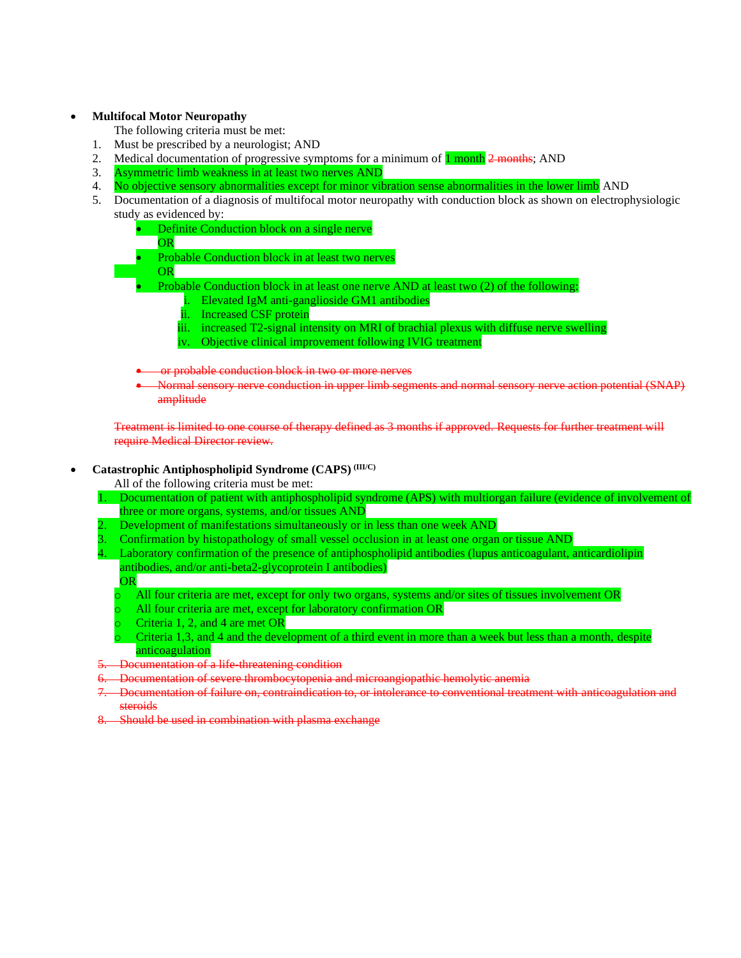#### • **Multifocal Motor Neuropathy**

- The following criteria must be met:
- 1. Must be prescribed by a neurologist; AND
- 2. Medical documentation of progressive symptoms for a minimum of  $\frac{1 \text{ month } 2 \text{ months}}{1 \text{ month } 2 \text{ months}}$
- 3. Asymmetric limb weakness in at least two nerves AND
- 4. No objective sensory abnormalities except for minor vibration sense abnormalities in the lower limb AND
- 5. Documentation of a diagnosis of multifocal motor neuropathy with conduction block as shown on electrophysiologic study as evidenced by:
	- Definite Conduction block on a single nerve
	- OR
	- Probable Conduction block in at least two nerves
	- OR
	- Probable Conduction block in at least one nerve AND at least two (2) of the following:
		- i. Elevated IgM anti-ganglioside GM1 antibodies
		- ii. Increased CSF protein
		- iii. increased T2-signal intensity on MRI of brachial plexus with diffuse nerve swelling
		- iv. Objective clinical improvement following IVIG treatment

or probable conduction block in two or more nerves

• Normal sensory nerve conduction in upper limb segments and normal sensory nerve action potential (SNAP) amplitude

Treatment is limited to one course of therapy defined as 3 months if approved. Requests for further treatment will require Medical Director review.

#### • **Catastrophic Antiphospholipid Syndrome (CAPS) (III/C)**

All of the following criteria must be met:

- 1. Documentation of patient with antiphospholipid syndrome (APS) with multiorgan failure (evidence of involvement of three or more organs, systems, and/or tissues AND
- 2. Development of manifestations simultaneously or in less than one week AND
- 3. Confirmation by histopathology of small vessel occlusion in at least one organ or tissue AND
- 4. Laboratory confirmation of the presence of antiphospholipid antibodies (lupus anticoagulant, anticardiolipin antibodies, and/or anti-beta2-glycoprotein I antibodies) OR
	- o All four criteria are met, except for only two organs, systems and/or sites of tissues involvement OR
	- o All four criteria are met, except for laboratory confirmation OR
	- o Criteria 1, 2, and 4 are met OR
	- o Criteria 1,3, and 4 and the development of a third event in more than a week but less than a month, despite anticoagulation
- 5. Documentation of a life-threatening condition
- 6. Documentation of severe thrombocytopenia and microangiopathic hemolytic anemia
- 7. Documentation of failure on, contraindication to, or intolerance to conventional treatment with anticoagulation and steroids
- Should be used in combination with plasma exchange